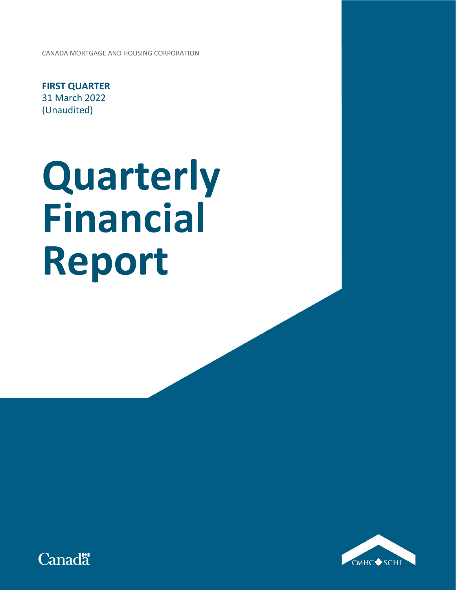CANADA MORTGAGE AND HOUSING CORPORATION

**FIRST QUARTER** 31 March 2022 (Unaudited)

# **Quarterly Financial Report**



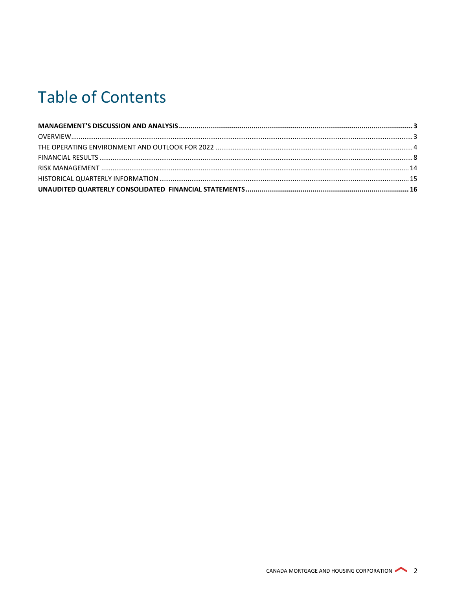# **Table of Contents**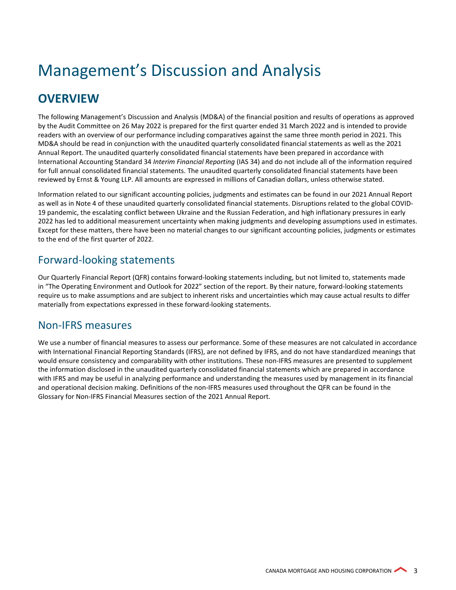# <span id="page-2-0"></span>Management's Discussion and Analysis

# <span id="page-2-1"></span>**OVERVIEW**

The following Management's Discussion and Analysis (MD&A) of the financial position and results of operations as approved by the Audit Committee on 26 May 2022 is prepared for the first quarter ended 31 March 2022 and is intended to provide readers with an overview of our performance including comparatives against the same three month period in 2021. This MD&A should be read in conjunction with the unaudited quarterly consolidated financial statements as well as the 2021 Annual Report. The unaudited quarterly consolidated financial statements have been prepared in accordance with International Accounting Standard 34 *Interim Financial Reporting* (IAS 34) and do not include all of the information required for full annual consolidated financial statements. The unaudited quarterly consolidated financial statements have been reviewed by Ernst & Young LLP. All amounts are expressed in millions of Canadian dollars, unless otherwise stated.

Information related to our significant accounting policies, judgments and estimates can be found in our 2021 Annual Report as well as in Note 4 of these unaudited quarterly consolidated financial statements. Disruptions related to the global COVID-19 pandemic, the escalating conflict between Ukraine and the Russian Federation, and high inflationary pressures in early 2022 has led to additional measurement uncertainty when making judgments and developing assumptions used in estimates. Except for these matters, there have been no material changes to our significant accounting policies, judgments or estimates to the end of the first quarter of 2022.

# Forward-looking statements

Our Quarterly Financial Report (QFR) contains forward-looking statements including, but not limited to, statements made in "The Operating Environment and Outlook for 2022" section of the report. By their nature, forward-looking statements require us to make assumptions and are subject to inherent risks and uncertainties which may cause actual results to differ materially from expectations expressed in these forward-looking statements.

# Non-IFRS measures

We use a number of financial measures to assess our performance. Some of these measures are not calculated in accordance with International Financial Reporting Standards (IFRS), are not defined by IFRS, and do not have standardized meanings that would ensure consistency and comparability with other institutions. These non-IFRS measures are presented to supplement the information disclosed in the unaudited quarterly consolidated financial statements which are prepared in accordance with IFRS and may be useful in analyzing performance and understanding the measures used by management in its financial and operational decision making. Definitions of the non-IFRS measures used throughout the QFR can be found in the Glossary for Non-IFRS Financial Measures section of the 2021 Annual Report.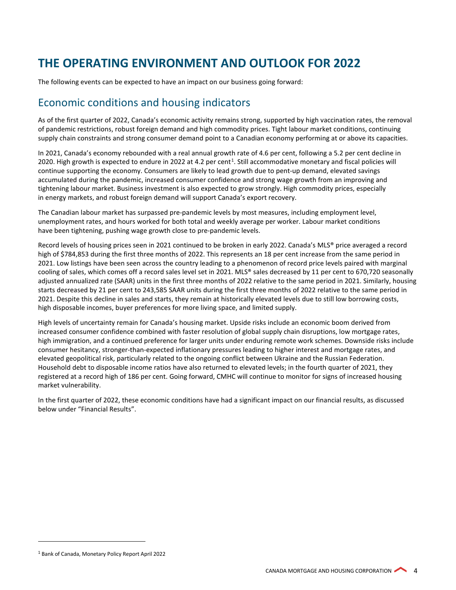# <span id="page-3-0"></span>**THE OPERATING ENVIRONMENT AND OUTLOOK FOR 2022**

The following events can be expected to have an impact on our business going forward:

## Economic conditions and housing indicators

As of the first quarter of 2022, Canada's economic activity remains strong, supported by high vaccination rates, the removal of pandemic restrictions, robust foreign demand and high commodity prices. Tight labour market conditions, continuing supply chain constraints and strong consumer demand point to a Canadian economy performing at or above its capacities.

In 2021, Canada's economy rebounded with a real annual growth rate of 4.6 per cent, following a 5.2 per cent decline in 2020. High growth is expected to endure in 2022 at 4.2 per cent<sup>1</sup>. Still accommodative monetary and fiscal policies will continue supporting the economy. Consumers are likely to lead growth due to pent-up demand, elevated savings accumulated during the pandemic, increased consumer confidence and strong wage growth from an improving and tightening labour market. Business investment is also expected to grow strongly. High commodity prices, especially in energy markets, and robust foreign demand will support Canada's export recovery.

The Canadian labour market has surpassed pre-pandemic levels by most measures, including employment level, unemployment rates, and hours worked for both total and weekly average per worker. Labour market conditions have been tightening, pushing wage growth close to pre-pandemic levels.

Record levels of housing prices seen in 2021 continued to be broken in early 2022. Canada's MLS® price averaged a record high of \$784,853 during the first three months of 2022. This represents an 18 per cent increase from the same period in 2021. Low listings have been seen across the country leading to a phenomenon of record price levels paired with marginal cooling of sales, which comes off a record sales level set in 2021. MLS® sales decreased by 11 per cent to 670,720 seasonally adjusted annualized rate (SAAR) units in the first three months of 2022 relative to the same period in 2021. Similarly, housing starts decreased by 21 per cent to 243,585 SAAR units during the first three months of 2022 relative to the same period in 2021. Despite this decline in sales and starts, they remain at historically elevated levels due to still low borrowing costs, high disposable incomes, buyer preferences for more living space, and limited supply.

High levels of uncertainty remain for Canada's housing market. Upside risks include an economic boom derived from increased consumer confidence combined with faster resolution of global supply chain disruptions, low mortgage rates, high immigration, and a continued preference for larger units under enduring remote work schemes. Downside risks include consumer hesitancy, stronger-than-expected inflationary pressures leading to higher interest and mortgage rates, and elevated geopolitical risk, particularly related to the ongoing conflict between Ukraine and the Russian Federation. Household debt to disposable income ratios have also returned to elevated levels; in the fourth quarter of 2021, they registered at a record high of 186 per cent. Going forward, CMHC will continue to monitor for signs of increased housing market vulnerability.

In the first quarter of 2022, these economic conditions have had a significant impact on our financial results, as discussed below under "Financial Results".

<sup>1</sup> Bank of Canada, Monetary Policy Report April 2022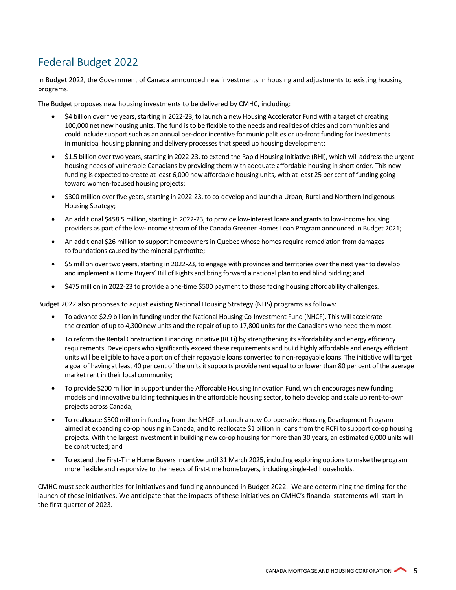# Federal Budget 2022

In Budget 2022, the Government of Canada announced new investments in housing and adjustments to existing housing programs.

The Budget proposes new housing investments to be delivered by CMHC, including:

- \$4 billion over five years, starting in 2022-23, to launch a new Housing Accelerator Fund with a target of creating 100,000 net new housing units. The fund is to be flexible to the needs and realities of cities and communities and could include support such as an annual per-door incentive for municipalities or up-front funding for investments in municipal housing planning and delivery processes that speed up housing development;
- \$1.5 billion over two years, starting in 2022-23, to extend the Rapid Housing Initiative (RHI), which will address the urgent housing needs of vulnerable Canadians by providing them with adequate affordable housing in short order. This new funding is expected to create at least 6,000 new affordable housing units, with at least 25 per cent of funding going toward women-focused housing projects;
- \$300 million over five years, starting in 2022-23, to co-develop and launch a Urban, Rural and Northern Indigenous Housing Strategy;
- An additional \$458.5 million, starting in 2022-23, to provide low-interest loans and grants to low-income housing providers as part of the low-income stream of the Canada Greener Homes Loan Program announced in Budget 2021;
- An additional \$26 million to support homeowners in Quebec whose homes require remediation from damages to foundations caused by the mineral pyrrhotite;
- \$5 million over two years, starting in 2022-23, to engage with provinces and territories over the next year to develop and implement a Home Buyers' Bill of Rights and bring forward a national plan to end blind bidding; and
- \$475 million in 2022-23 to provide a one-time \$500 payment to those facing housing affordability challenges.

Budget 2022 also proposes to adjust existing National Housing Strategy (NHS) programs as follows:

- To advance \$2.9 billion in funding under the National Housing Co-Investment Fund (NHCF). This will accelerate the creation of up to 4,300 new units and the repair of up to 17,800 units for the Canadians who need them most.
- To reform the Rental Construction Financing initiative (RCFi) by strengthening its affordability and energy efficiency requirements. Developers who significantly exceed these requirements and build highly affordable and energy efficient units will be eligible to have a portion of their repayable loans converted to non-repayable loans. The initiative will target a goal of having at least 40 per cent of the units it supports provide rent equal to or lower than 80 per cent of the average market rent in their local community;
- To provide \$200 million in support under the Affordable Housing Innovation Fund, which encourages new funding models and innovative building techniques in the affordable housing sector, to help develop and scale up rent-to-own projects across Canada;
- To reallocate \$500 million in funding from the NHCF to launch a new Co-operative Housing Development Program aimed at expanding co-op housing in Canada, and to reallocate \$1 billion in loans from the RCFi to support co-op housing projects. With the largest investment in building new co-op housing for more than 30 years, an estimated 6,000 units will be constructed; and
- To extend the First-Time Home Buyers Incentive until 31 March 2025, including exploring options to make the program more flexible and responsive to the needs of first-time homebuyers, including single-led households.

CMHC must seek authorities for initiatives and funding announced in Budget 2022. We are determining the timing for the launch of these initiatives. We anticipate that the impacts of these initiatives on CMHC's financial statements will start in the first quarter of 2023.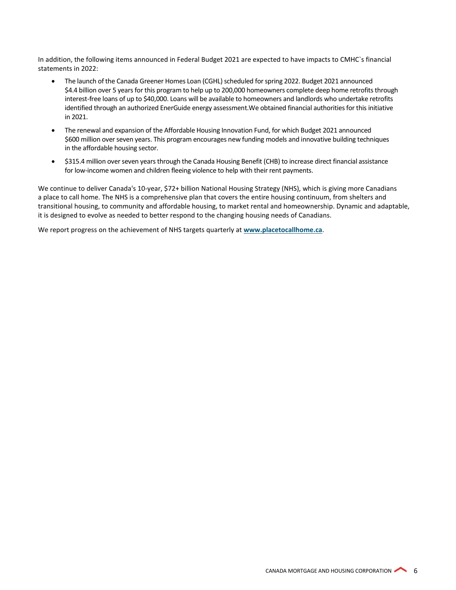In addition, the following items announced in Federal Budget 2021 are expected to have impacts to CMHC`s financial statements in 2022:

- The launch of the Canada Greener Homes Loan (CGHL) scheduled for spring 2022. Budget 2021 announced \$4.4 billion over 5 years for this program to help up to 200,000 homeowners complete deep home retrofits through interest-free loans of up to \$40,000. Loans will be available to homeowners and landlords who undertake retrofits identified through an authorized EnerGuide energy assessment.We obtained financial authorities for this initiative in 2021.
- The renewal and expansion of the Affordable Housing Innovation Fund, for which Budget 2021 announced \$600 million over seven years. This program encourages new funding models and innovative building techniques in the affordable housing sector.
- \$315.4 million over seven years through the Canada Housing Benefit (CHB) to increase direct financial assistance for low-income women and children fleeing violence to help with their rent payments.

We continue to deliver Canada's 10-year, \$72+ billion National Housing Strategy (NHS), which is giving more Canadians a place to call home. The NHS is a comprehensive plan that covers the entire housing continuum, from shelters and transitional housing, to community and affordable housing, to market rental and homeownership. Dynamic and adaptable, it is designed to evolve as needed to better respond to the changing housing needs of Canadians.

We report progress on the achievement of NHS targets quarterly at **[www.placetocallhome.ca](http://www.placetocallhome.ca/)**.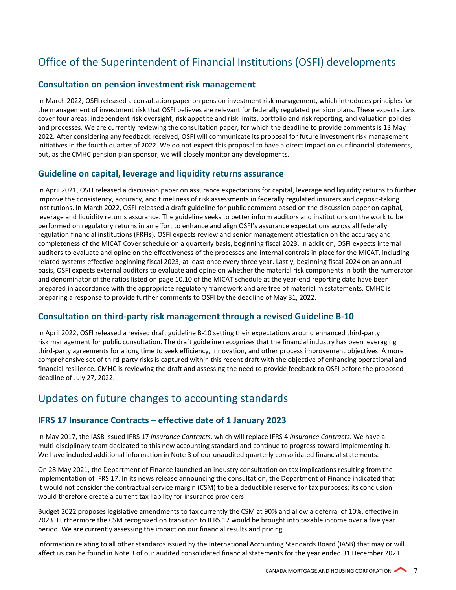# Office of the Superintendent of Financial Institutions (OSFI) developments

#### **Consultation on pension investment risk management**

In March 2022, OSFI released a consultation paper on pension investment risk management, which introduces principles for the management of investment risk that OSFI believes are relevant for federally regulated pension plans. These expectations cover four areas: independent risk oversight, risk appetite and risk limits, portfolio and risk reporting, and valuation policies and processes. We are currently reviewing the consultation paper, for which the deadline to provide comments is 13 May 2022. After considering any feedback received, OSFI will communicate its proposal for future investment risk management initiatives in the fourth quarter of 2022. We do not expect this proposal to have a direct impact on our financial statements, but, as the CMHC pension plan sponsor, we will closely monitor any developments.

#### **Guideline on capital, leverage and liquidity returns assurance**

In April 2021, OSFI released a discussion paper on assurance expectations for capital, leverage and liquidity returns to further improve the consistency, accuracy, and timeliness of risk assessments in federally regulated insurers and deposit-taking institutions. In March 2022, OSFI released a draft guideline for public comment based on the discussion paper on capital, leverage and liquidity returns assurance. The guideline seeks to better inform auditors and institutions on the work to be performed on regulatory returns in an effort to enhance and align OSFI's assurance expectations across all federally regulation financial institutions (FRFIs). OSFI expects review and senior management attestation on the accuracy and completeness of the MICAT Cover schedule on a quarterly basis, beginning fiscal 2023. In addition, OSFI expects internal auditors to evaluate and opine on the effectiveness of the processes and internal controls in place for the MICAT, including related systems effective beginning fiscal 2023, at least once every three year. Lastly, beginning fiscal 2024 on an annual basis, OSFI expects external auditors to evaluate and opine on whether the material risk components in both the numerator and denominator of the ratios listed on page 10.10 of the MICAT schedule at the year-end reporting date have been prepared in accordance with the appropriate regulatory framework and are free of material misstatements. CMHC is preparing a response to provide further comments to OSFI by the deadline of May 31, 2022.

#### **Consultation on third-party risk management through a revised Guideline B-10**

In April 2022, OSFI released a revised draft guideline B-10 setting their expectations around enhanced third-party risk management for public consultation. The draft guideline recognizes that the financial industry has been leveraging third-party agreements for a long time to seek efficiency, innovation, and other process improvement objectives. A more comprehensive set of third-party risks is captured within this recent draft with the objective of enhancing operational and financial resilience. CMHC is reviewing the draft and assessing the need to provide feedback to OSFI before the proposed deadline of July 27, 2022.

### Updates on future changes to accounting standards

#### **IFRS 17 Insurance Contracts – effective date of 1 January 2023**

In May 2017, the IASB issued IFRS 17 *Insurance Contracts*, which will replace IFRS 4 *Insurance Contracts*. We have a multi-disciplinary team dedicated to this new accounting standard and continue to progress toward implementing it. We have included additional information in Note 3 of our unaudited quarterly consolidated financial statements.

On 28 May 2021, the Department of Finance launched an industry consultation on tax implications resulting from the implementation of IFRS 17. In its news release announcing the consultation, the Department of Finance indicated that it would not consider the contractual service margin (CSM) to be a deductible reserve for tax purposes; its conclusion would therefore create a current tax liability for insurance providers.

Budget 2022 proposes legislative amendments to tax currently the CSM at 90% and allow a deferral of 10%, effective in 2023. Furthermore the CSM recognized on transition to IFRS 17 would be brought into taxable income over a five year period. We are currently assessing the impact on our financial results and pricing.

Information relating to all other standards issued by the International Accounting Standards Board (IASB) that may or will affect us can be found in Note 3 of our audited consolidated financial statements for the year ended 31 December 2021.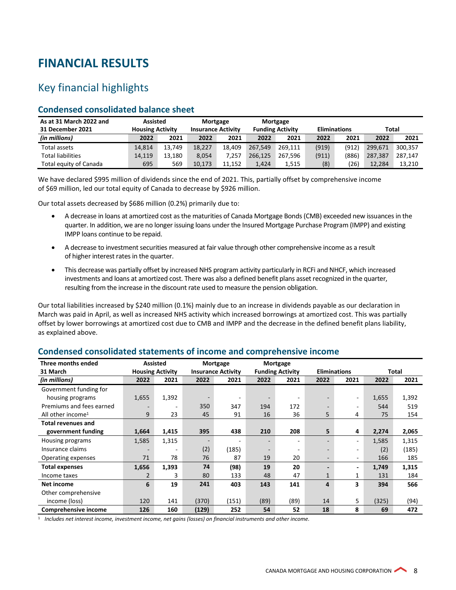# <span id="page-7-0"></span>**FINANCIAL RESULTS**

# Key financial highlights

#### **Condensed consolidated balance sheet**

| As at 31 March 2022 and  | <b>Assisted</b>         |        | Mortgage                  |        | Mortgage                |         |                     |       |         |         |
|--------------------------|-------------------------|--------|---------------------------|--------|-------------------------|---------|---------------------|-------|---------|---------|
| 31 December 2021         | <b>Housing Activity</b> |        | <b>Insurance Activity</b> |        | <b>Funding Activity</b> |         | <b>Eliminations</b> |       | Total   |         |
| (in millions)            | 2022                    | 2021   | 2022                      | 2021   | 2022                    | 2021    | 2022                | 2021  | 2022    | 2021    |
| Total assets             | 14.814                  | 13.749 | 18.227                    | 18.409 | 267.549                 | 269.111 | (919)               | (912) | 299.671 | 300.357 |
| <b>Total liabilities</b> | 14.119                  | 13.180 | 8.054                     | 7.257  | 266.125                 | 267.596 | (911)               | (886) | 287.387 | 287.147 |
| Total equity of Canada   | 695                     | 569    | 10.173                    | 11.152 | 1.424                   | 1.515   | (8)                 | '26)  | 12.284  | 13.210  |

We have declared \$995 million of dividends since the end of 2021. This, partially offset by comprehensive income of \$69 million, led our total equity of Canada to decrease by \$926 million.

Our total assets decreased by \$686 million (0.2%) primarily due to:

- A decrease in loans at amortized cost as the maturities of Canada Mortgage Bonds (CMB) exceeded new issuances in the quarter. In addition, we are no longer issuing loans under the Insured Mortgage Purchase Program (IMPP) and existing IMPP loans continue to be repaid.
- A decrease to investment securities measured at fair value through other comprehensive income as a result of higher interest rates in the quarter.
- This decrease was partially offset by increased NHS program activity particularly in RCFi and NHCF, which increased investments and loans at amortized cost. There was also a defined benefit plans asset recognized in the quarter, resulting from the increase in the discount rate used to measure the pension obligation.

Our total liabilities increased by \$240 million (0.1%) mainly due to an increase in dividends payable as our declaration in March was paid in April, as well as increased NHS activity which increased borrowings at amortized cost. This was partially offset by lower borrowings at amortized cost due to CMB and IMPP and the decrease in the defined benefit plans liability, as explained above.

| Three months ended            |                | <b>Assisted</b>                                      |       | Mortgage                |      | Mortgage                 |                          |       |       |       |
|-------------------------------|----------------|------------------------------------------------------|-------|-------------------------|------|--------------------------|--------------------------|-------|-------|-------|
| 31 March                      |                | <b>Housing Activity</b><br><b>Insurance Activity</b> |       | <b>Funding Activity</b> |      | <b>Eliminations</b>      |                          | Total |       |       |
| (in millions)                 | 2022           | 2021                                                 | 2022  | 2021                    | 2022 | 2021                     | 2022                     | 2021  | 2022  | 2021  |
| Government funding for        |                |                                                      |       |                         |      |                          |                          |       |       |       |
| housing programs              | 1,655          | 1,392                                                |       |                         |      | $\overline{\phantom{a}}$ |                          | ٠.    | 1,655 | 1,392 |
| Premiums and fees earned      |                | $\overline{\phantom{a}}$                             | 350   | 347                     | 194  | 172                      | $\overline{\phantom{a}}$ | ٠     | 544   | 519   |
| All other income <sup>1</sup> | 9              | 23                                                   | 45    | 91                      | 16   | 36                       | 5                        | 4     | 75    | 154   |
| <b>Total revenues and</b>     |                |                                                      |       |                         |      |                          |                          |       |       |       |
| government funding            | 1,664          | 1,415                                                | 395   | 438                     | 210  | 208                      | 5                        | 4     | 2,274 | 2,065 |
| Housing programs              | 1,585          | 1,315                                                |       |                         |      | ۰                        |                          | ٠.    | 1,585 | 1,315 |
| Insurance claims              |                |                                                      | (2)   | (185)                   |      | ۰                        |                          |       | (2)   | (185) |
| Operating expenses            | 71             | 78                                                   | 76    | 87                      | 19   | 20                       | $\overline{\phantom{a}}$ | ٠.    | 166   | 185   |
| <b>Total expenses</b>         | 1,656          | 1,393                                                | 74    | (98)                    | 19   | 20                       | $\overline{\phantom{0}}$ |       | 1,749 | 1,315 |
| Income taxes                  | $\overline{2}$ | 3                                                    | 80    | 133                     | 48   | 47                       | $\mathbf{1}$             | 1     | 131   | 184   |
| <b>Net income</b>             | 6              | 19                                                   | 241   | 403                     | 143  | 141                      | 4                        | 3     | 394   | 566   |
| Other comprehensive           |                |                                                      |       |                         |      |                          |                          |       |       |       |
| income (loss)                 | 120            | 141                                                  | (370) | (151)                   | (89) | (89)                     | 14                       | 5     | (325) | (94)  |
| Comprehensive income          | 126            | 160                                                  | (129) | 252                     | 54   | 52                       | 18                       | 8     | 69    | 472   |

#### **Condensed consolidated statements of income and comprehensive income**

<sup>1</sup> *Includes net interest income, investment income, net gains (losses) on financial instruments and other income.*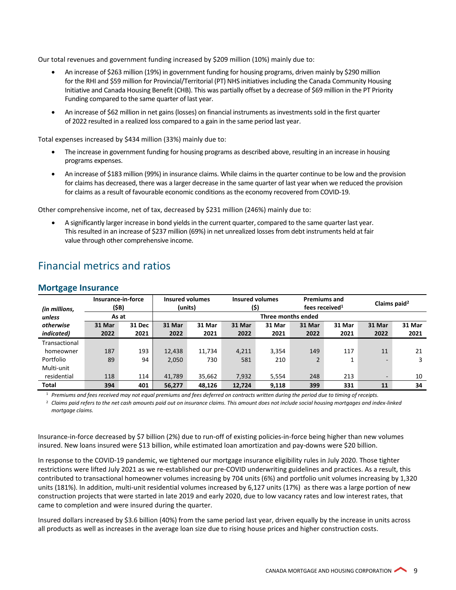Our total revenues and government funding increased by \$209 million (10%) mainly due to:

- An increase of \$263 million (19%) in government funding for housing programs, driven mainly by \$290 million for the RHI and \$59 million for Provincial/Territorial (PT) NHS initiatives including the Canada Community Housing Initiative and Canada Housing Benefit (CHB). This was partially offset by a decrease of \$69 million in the PT Priority Funding compared to the same quarter of last year.
- An increase of \$62 million in net gains (losses) on financial instruments as investments sold in the first quarter of 2022 resulted in a realized loss compared to a gain in the same period last year.

Total expenses increased by \$434 million (33%) mainly due to:

- The increase in government funding for housing programs as described above, resulting in an increase in housing programs expenses.
- An increase of \$183 million (99%) in insurance claims. While claims in the quarter continue to be low and the provision for claims has decreased, there was a larger decrease in the same quarter of last year when we reduced the provision for claims as a result of favourable economic conditions as the economy recovered from COVID-19.

Other comprehensive income, net of tax, decreased by \$231 million (246%) mainly due to:

• A significantly larger increase in bond yields in the current quarter, compared to the same quarter last year. This resulted in an increase of \$237 million (69%) in net unrealized losses from debt instruments held at fair value through other comprehensive income.

| <b>Mortgage Insurance</b> |                             |        |        |                    |                        |         |                                |        |                                                   |        |                          |  |
|---------------------------|-----------------------------|--------|--------|--------------------|------------------------|---------|--------------------------------|--------|---------------------------------------------------|--------|--------------------------|--|
| (in millions,             | Insurance-in-force<br>(\$B) |        |        |                    | <b>Insured volumes</b> | (units) | <b>Insured volumes</b><br>(\$) |        | <b>Premiums and</b><br>fees received <sup>1</sup> |        | Claims paid <sup>2</sup> |  |
| unless                    | As at                       |        |        | Three months ended |                        |         |                                |        |                                                   |        |                          |  |
| otherwise                 | 31 Mar                      | 31 Dec | 31 Mar | 31 Mar             | 31 Mar                 | 31 Mar  | 31 Mar                         | 31 Mar | 31 Mar                                            | 31 Mar |                          |  |
| <i>indicated</i> )        | 2022                        | 2021   | 2022   | 2021               | 2022                   | 2021    | 2022                           | 2021   | 2022                                              | 2021   |                          |  |
| Transactional             |                             |        |        |                    |                        |         |                                |        |                                                   |        |                          |  |
| homeowner                 | 187                         | 193    | 12,438 | 11.734             | 4,211                  | 3,354   | 149                            | 117    | 11                                                | 21     |                          |  |
| Portfolio                 | 89                          | 94     | 2,050  | 730                | 581                    | 210     | 2                              |        |                                                   | 3      |                          |  |
| Multi-unit                |                             |        |        |                    |                        |         |                                |        |                                                   |        |                          |  |
| residential               | 118                         | 114    | 41.789 | 35,662             | 7,932                  | 5,554   | 248                            | 213    |                                                   | 10     |                          |  |
| Total                     | 394                         | 401    | 56,277 | 48.126             | 12.724                 | 9.118   | 399                            | 331    | 11                                                | 34     |                          |  |

# Financial metrics and ratios

<sup>1</sup> *Premiums and fees received may not equal premiums and fees deferred on contracts written during the period due to timing of receipts.* 

<sup>2</sup> Claims paid refers to the net cash amounts paid out on insurance claims. This amount does not include social housing mortgages and index-linked *mortgage claims.*

Insurance-in-force decreased by \$7 billion (2%) due to run-off of existing policies-in-force being higher than new volumes insured. New loans insured were \$13 billion, while estimated loan amortization and pay-downs were \$20 billion.

In response to the COVID-19 pandemic, we tightened our mortgage insurance eligibility rules in July 2020. Those tighter restrictions were lifted July 2021 as we re-established our pre-COVID underwriting guidelines and practices. As a result, this contributed to transactional homeowner volumes increasing by 704 units (6%) and portfolio unit volumes increasing by 1,320 units (181%). In addition, multi-unit residential volumes increased by 6,127 units (17%) as there was a large portion of new construction projects that were started in late 2019 and early 2020, due to low vacancy rates and low interest rates, that came to completion and were insured during the quarter.

Insured dollars increased by \$3.6 billion (40%) from the same period last year, driven equally by the increase in units across all products as well as increases in the average loan size due to rising house prices and higher construction costs.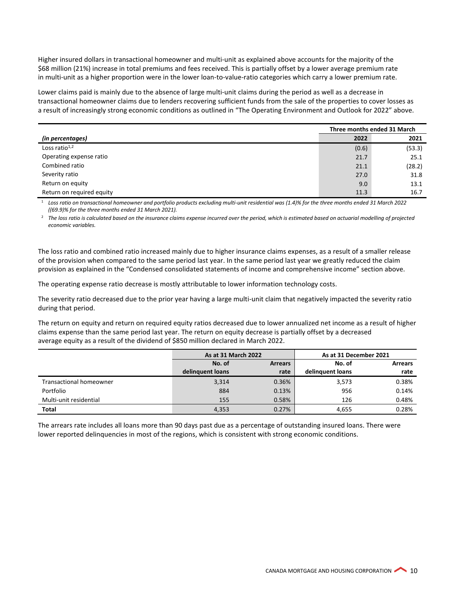Higher insured dollars in transactional homeowner and multi-unit as explained above accounts for the majority of the \$68 million (21%) increase in total premiums and fees received. This is partially offset by a lower average premium rate in multi-unit as a higher proportion were in the lower loan-to-value-ratio categories which carry a lower premium rate.

Lower claims paid is mainly due to the absence of large multi-unit claims during the period as well as a decrease in transactional homeowner claims due to lenders recovering sufficient funds from the sale of the properties to cover losses as a result of increasingly strong economic conditions as outlined in "The Operating Environment and Outlook for 2022" above.

|                           | Three months ended 31 March |        |  |
|---------------------------|-----------------------------|--------|--|
| (in percentages)          | 2022                        | 2021   |  |
| Loss ratio $1,2$          | (0.6)                       | (53.3) |  |
| Operating expense ratio   | 21.7                        | 25.1   |  |
| Combined ratio            | 21.1                        | (28.2) |  |
| Severity ratio            | 27.0                        | 31.8   |  |
| Return on equity          | 9.0                         | 13.1   |  |
| Return on required equity | 11.3                        | 16.7   |  |

<sup>1</sup> *Loss ratio on transactional homeowner and portfolio products excluding multi-unit residential was (1.4)% for the three months ended 31 March 2022 ((69.9)% for the three months ended 31 March 2021).*

<sup>2</sup> The loss ratio is calculated based on the insurance claims expense incurred over the period, which is estimated based on actuarial modelling of projected *economic variables.*

The loss ratio and combined ratio increased mainly due to higher insurance claims expenses, as a result of a smaller release of the provision when compared to the same period last year. In the same period last year we greatly reduced the claim provision as explained in the "Condensed consolidated statements of income and comprehensive income" section above.

The operating expense ratio decrease is mostly attributable to lower information technology costs.

The severity ratio decreased due to the prior year having a large multi-unit claim that negatively impacted the severity ratio during that period.

The return on equity and return on required equity ratios decreased due to lower annualized net income as a result of higher claims expense than the same period last year. The return on equity decrease is partially offset by a decreased average equity as a result of the dividend of \$850 million declared in March 2022.

|                                | As at 31 March 2022 |                | As at 31 December 2021 |                |  |
|--------------------------------|---------------------|----------------|------------------------|----------------|--|
|                                | No. of              | <b>Arrears</b> | No. of                 | <b>Arrears</b> |  |
|                                | delinguent loans    | rate           | delinguent loans       | rate           |  |
| <b>Transactional homeowner</b> | 3,314               | 0.36%          | 3,573                  | 0.38%          |  |
| Portfolio                      | 884                 | 0.13%          | 956                    | 0.14%          |  |
| Multi-unit residential         | 155                 | 0.58%          | 126                    | 0.48%          |  |
| <b>Total</b>                   | 4,353               | 0.27%          | 4,655                  | 0.28%          |  |

The arrears rate includes all loans more than 90 days past due as a percentage of outstanding insured loans. There were lower reported delinquencies in most of the regions, which is consistent with strong economic conditions.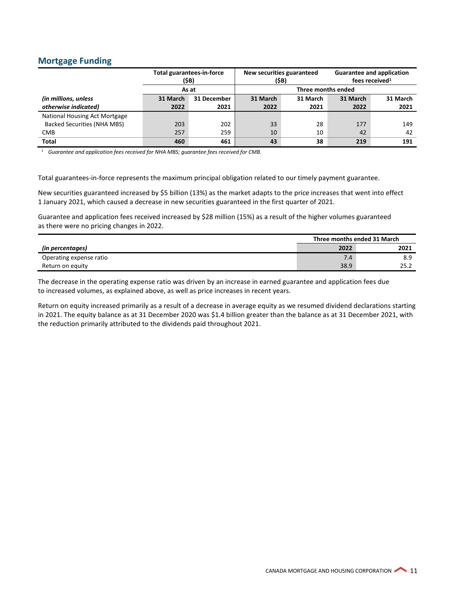#### **Mortgage Funding**

|                               | <b>Total guarantees-in-force</b> | (\$B)       | New securities guaranteed<br>(\$B) |                    | <b>Guarantee and application</b><br>fees received <sup>1</sup> |          |  |
|-------------------------------|----------------------------------|-------------|------------------------------------|--------------------|----------------------------------------------------------------|----------|--|
|                               | As at                            |             |                                    | Three months ended |                                                                |          |  |
| (in millions, unless          | 31 March                         | 31 December | 31 March                           | 31 March           | 31 March                                                       | 31 March |  |
| otherwise indicated)          | 2022                             | 2021        | 2022                               | 2021               | 2022                                                           | 2021     |  |
| National Housing Act Mortgage |                                  |             |                                    |                    |                                                                |          |  |
| Backed Securities (NHA MBS)   | 203                              | 202         | 33                                 | 28                 | 177                                                            | 149      |  |
| <b>CMB</b>                    | 257                              | 259         | 10                                 | 10                 | 42                                                             | 42       |  |
| <b>Total</b>                  | 460                              | 461         | 43                                 | 38                 | 219                                                            | 191      |  |

<sup>1</sup> *Guarantee and application fees received for NHA MBS; guarantee fees received for CMB.*

Total guarantees-in-force represents the maximum principal obligation related to our timely payment guarantee.

New securities guaranteed increased by \$5 billion (13%) as the market adapts to the price increases that went into effect 1 January 2021, which caused a decrease in new securities guaranteed in the first quarter of 2021.

Guarantee and application fees received increased by \$28 million (15%) as a result of the higher volumes guaranteed as there were no pricing changes in 2022.

|                         | Three months ended 31 March |      |  |
|-------------------------|-----------------------------|------|--|
| (in percentages)        | 2022                        | 2021 |  |
| Operating expense ratio | 7.4                         | 8.9  |  |
| Return on equity        | 38.9                        | 25.2 |  |

The decrease in the operating expense ratio was driven by an increase in earned guarantee and application fees due to increased volumes, as explained above, as well as price increases in recent years.

Return on equity increased primarily as a result of a decrease in average equity as we resumed dividend declarations starting in 2021. The equity balance as at 31 December 2020 was \$1.4 billion greater than the balance as at 31 December 2021, with the reduction primarily attributed to the dividends paid throughout 2021.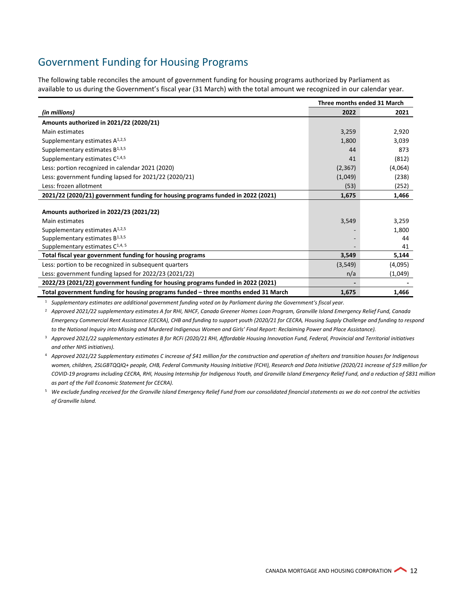# Government Funding for Housing Programs

The following table reconciles the amount of government funding for housing programs authorized by Parliament as available to us during the Government's fiscal year (31 March) with the total amount we recognized in our calendar year.

|                                                                                    | Three months ended 31 March |         |  |
|------------------------------------------------------------------------------------|-----------------------------|---------|--|
| (in millions)                                                                      | 2022                        | 2021    |  |
| Amounts authorized in 2021/22 (2020/21)                                            |                             |         |  |
| Main estimates                                                                     | 3,259                       | 2,920   |  |
| Supplementary estimates $A^{1,2,5}$                                                | 1,800                       | 3,039   |  |
| Supplementary estimates $B^{1,3,5}$                                                | 44                          | 873     |  |
| Supplementary estimates $C^{1,4,5}$                                                | 41                          | (812)   |  |
| Less: portion recognized in calendar 2021 (2020)                                   | (2, 367)                    | (4,064) |  |
| Less: government funding lapsed for 2021/22 (2020/21)                              | (1,049)                     | (238)   |  |
| Less: frozen allotment                                                             | (53)                        | (252)   |  |
| 2021/22 (2020/21) government funding for housing programs funded in 2022 (2021)    | 1,675                       | 1,466   |  |
|                                                                                    |                             |         |  |
| Amounts authorized in 2022/23 (2021/22)                                            |                             |         |  |
| Main estimates                                                                     | 3,549                       | 3,259   |  |
| Supplementary estimates $A^{1,2,5}$                                                |                             | 1,800   |  |
| Supplementary estimates $B^{1,3,5}$                                                |                             | 44      |  |
| Supplementary estimates $C^{1,4,5}$                                                |                             | 41      |  |
| Total fiscal year government funding for housing programs                          | 3,549                       | 5,144   |  |
| Less: portion to be recognized in subsequent quarters                              | (3, 549)                    | (4,095) |  |
| Less: government funding lapsed for 2022/23 (2021/22)                              | n/a                         | (1,049) |  |
| 2022/23 (2021/22) government funding for housing programs funded in 2022 (2021)    |                             |         |  |
| Total government funding for housing programs funded - three months ended 31 March | 1,675                       | 1,466   |  |

<sup>1</sup> *Supplementary estimates are additional government funding voted on by Parliament during the Government's fiscal year.*

<sup>2</sup> *Approved 2021/22 supplementary estimates A for RHI, NHCF, Canada Greener Homes Loan Program, Granville Island Emergency Relief Fund, Canada Emergency Commercial Rent Assistance (CECRA), CHB and funding to support youth (2020/21 for CECRA, Housing Supply Challenge and funding to respond to the National Inquiry into Missing and Murdered Indigenous Women and Girls' Final Report: Reclaiming Power and Place Assistance).*

<sup>3</sup> *Approved 2021/22 supplementary estimates B for RCFi (2020/21 RHI, Affordable Housing Innovation Fund, Federal, Provincial and Territorial initiatives and other NHS initiatives).*

<sup>4</sup> *Approved 2021/22 Supplementary estimates C increase of \$41 million for the construction and operation of shelters and transition houses for Indigenous women, children, 2SLGBTQQIQ+ people, CHB, Federal Community Housing Initiative (FCHI), Research and Data Initiative (2020/21 increase of \$19 million for COVID-19 programs including CECRA, RHI, Housing Internship for Indigenous Youth, and Granville Island Emergency Relief Fund, and a reduction of \$831 million as part of the Fall Economic Statement for CECRA).*

<sup>5</sup> *We exclude funding received for the Granville Island Emergency Relief Fund from our consolidated financial statements as we do not control the activities of Granville Island.*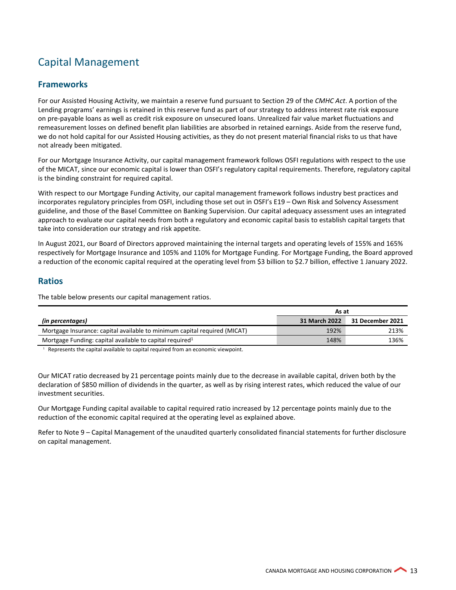# Capital Management

#### **Frameworks**

For our Assisted Housing Activity, we maintain a reserve fund pursuant to Section 29 of the *CMHC Act*. A portion of the Lending programs' earnings is retained in this reserve fund as part of our strategy to address interest rate risk exposure on pre-payable loans as well as credit risk exposure on unsecured loans. Unrealized fair value market fluctuations and remeasurement losses on defined benefit plan liabilities are absorbed in retained earnings. Aside from the reserve fund, we do not hold capital for our Assisted Housing activities, as they do not present material financial risks to us that have not already been mitigated.

For our Mortgage Insurance Activity, our capital management framework follows OSFI regulations with respect to the use of the MICAT, since our economic capital is lower than OSFI's regulatory capital requirements. Therefore, regulatory capital is the binding constraint for required capital.

With respect to our Mortgage Funding Activity, our capital management framework follows industry best practices and incorporates regulatory principles from OSFI, including those set out in OSFI's E19 – Own Risk and Solvency Assessment guideline, and those of the Basel Committee on Banking Supervision. Our capital adequacy assessment uses an integrated approach to evaluate our capital needs from both a regulatory and economic capital basis to establish capital targets that take into consideration our strategy and risk appetite.

In August 2021, our Board of Directors approved maintaining the internal targets and operating levels of 155% and 165% respectively for Mortgage Insurance and 105% and 110% for Mortgage Funding. For Mortgage Funding, the Board approved a reduction of the economic capital required at the operating level from \$3 billion to \$2.7 billion, effective 1 January 2022.

#### **Ratios**

The table below presents our capital management ratios.

|                                                                           | As at         |                  |  |
|---------------------------------------------------------------------------|---------------|------------------|--|
| (in percentages)                                                          | 31 March 2022 | 31 December 2021 |  |
| Mortgage Insurance: capital available to minimum capital required (MICAT) | 192%          | 213%             |  |
| Mortgage Funding: capital available to capital required <sup>1</sup>      | 148%          | 136%             |  |

 $1$  Represents the capital available to capital required from an economic viewpoint.

Our MICAT ratio decreased by 21 percentage points mainly due to the decrease in available capital, driven both by the declaration of \$850 million of dividends in the quarter, as well as by rising interest rates, which reduced the value of our investment securities.

Our Mortgage Funding capital available to capital required ratio increased by 12 percentage points mainly due to the reduction of the economic capital required at the operating level as explained above.

Refer to Note 9 – Capital Management of the unaudited quarterly consolidated financial statements for further disclosure on capital management.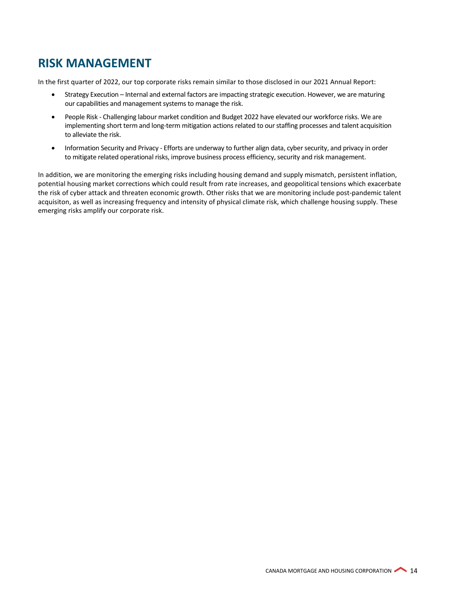# <span id="page-13-0"></span>**RISK MANAGEMENT**

In the first quarter of 2022, our top corporate risks remain similar to those disclosed in our 2021 Annual Report:

- Strategy Execution Internal and external factors are impacting strategic execution. However, we are maturing our capabilities and management systems to manage the risk.
- People Risk Challenging labour market condition and Budget 2022 have elevated our workforce risks. We are implementing short term and long-term mitigation actions related to our staffing processes and talent acquisition to alleviate the risk.
- Information Security and Privacy Efforts are underway to further align data, cyber security, and privacy in order to mitigate related operational risks, improve business process efficiency, security and risk management.

In addition, we are monitoring the emerging risks including housing demand and supply mismatch, persistent inflation, potential housing market corrections which could result from rate increases, and geopolitical tensions which exacerbate the risk of cyber attack and threaten economic growth. Other risks that we are monitoring include post-pandemic talent acquisiton, as well as increasing frequency and intensity of physical climate risk, which challenge housing supply. These emerging risks amplify our corporate risk.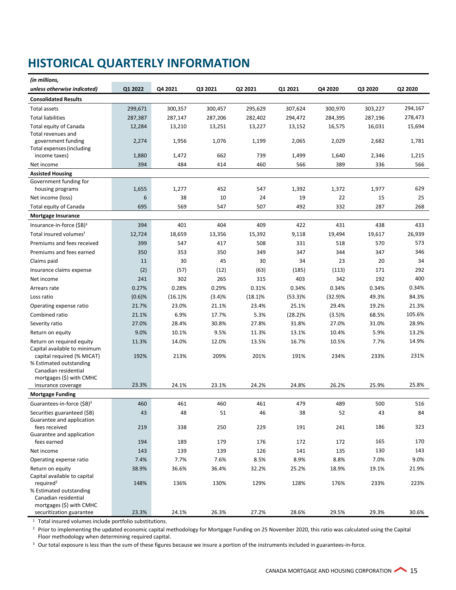# <span id="page-14-0"></span>**HISTORICAL QUARTERLY INFORMATION**

| (in millions,                                             |             |            |            |            |            |               |         |         |
|-----------------------------------------------------------|-------------|------------|------------|------------|------------|---------------|---------|---------|
| unless otherwise indicated)                               | Q1 2022     | Q4 2021    | Q3 2021    | Q2 2021    | Q1 2021    | Q4 2020       | Q3 2020 | Q2 2020 |
| <b>Consolidated Results</b>                               |             |            |            |            |            |               |         |         |
| <b>Total assets</b>                                       | 299,671     | 300,357    | 300,457    | 295,629    | 307,624    | 300,970       | 303,227 | 294,167 |
| <b>Total liabilities</b>                                  | 287,387     | 287,147    | 287,206    | 282,402    | 294,472    | 284,395       | 287,196 | 278,473 |
| Total equity of Canada                                    | 12,284      | 13,210     | 13,251     | 13,227     | 13,152     | 16,575        | 16,031  | 15,694  |
| Total revenues and                                        |             |            |            |            |            |               |         |         |
| government funding                                        | 2,274       | 1,956      | 1,076      | 1,199      | 2,065      | 2,029         | 2,682   | 1,781   |
| Total expenses (including<br>income taxes)                | 1,880       | 1,472      | 662        | 739        | 1,499      | 1,640         | 2,346   | 1,215   |
| Net income                                                | 394         | 484        | 414        | 460        | 566        | 389           | 336     | 566     |
| <b>Assisted Housing</b>                                   |             |            |            |            |            |               |         |         |
| Government funding for                                    |             |            |            |            |            |               |         |         |
| housing programs                                          | 1,655       | 1,277      | 452        | 547        | 1,392      | 1,372         | 1,977   | 629     |
| Net income (loss)                                         | 6           | 38         | 10         | 24         | 19         | 22            | 15      | 25      |
| Total equity of Canada                                    | 695         | 569        | 547        | 507        | 492        | 332           | 287     | 268     |
| <b>Mortgage Insurance</b>                                 |             |            |            |            |            |               |         |         |
| Insurance-in-force $(SB)^3$                               | 394         | 401        | 404        | 409        | 422        | 431           | 438     | 433     |
| Total insured volumes <sup>1</sup>                        | 12,724      | 18,659     | 13,356     | 15,392     | 9,118      | 19,494        | 19,617  | 26,939  |
| Premiums and fees received                                | 399         | 547        | 417        | 508        | 331        | 518           | 570     | 573     |
| Premiums and fees earned                                  | 350         | 353        | 350        | 349        | 347        | 344           | 347     | 346     |
| Claims paid                                               | 11          | 30         | 45         | 30         | 34         | 23            | 20      | 34      |
| Insurance claims expense                                  | (2)         | (57)       | (12)       | (63)       | (185)      | (113)         | 171     | 292     |
| Net income                                                | 241         | 302        | 265        | 315        | 403        | 342           | 192     | 400     |
| Arrears rate                                              | 0.27%       | 0.28%      | 0.29%      | 0.31%      | 0.34%      | 0.34%         | 0.34%   | 0.34%   |
| Loss ratio                                                | $(0.6)$ %   | $(16.1)\%$ | (3.4)%     | $(18.1)\%$ | $(53.3)\%$ | (32.9)%       | 49.3%   | 84.3%   |
| Operating expense ratio                                   | 21.7%       | 23.0%      | 21.1%      | 23.4%      | 25.1%      | 29.4%         | 19.2%   | 21.3%   |
| Combined ratio                                            | 21.1%       | 6.9%       | 17.7%      | 5.3%       | $(28.2)\%$ | (3.5)%        | 68.5%   | 105.6%  |
| Severity ratio                                            | 27.0%       | 28.4%      | 30.8%      | 27.8%      | 31.8%      | 27.0%         | 31.0%   | 28.9%   |
| Return on equity                                          | 9.0%        | 10.1%      | 9.5%       | 11.3%      | 13.1%      | 10.4%         | 5.9%    | 13.2%   |
| Return on required equity<br>Capital available to minimum | 11.3%       | 14.0%      | 12.0%      | 13.5%      | 16.7%      | 10.5%         | 7.7%    | 14.9%   |
| capital required (% MICAT)                                | 192%        | 213%       | 209%       | 201%       | 191%       | 234%          | 233%    | 231%    |
| % Estimated outstanding                                   |             |            |            |            |            |               |         |         |
| Canadian residential                                      |             |            |            |            |            |               |         |         |
| mortgages (\$) with CMHC<br>insurance coverage            | 23.3%       | 24.1%      | 23.1%      | 24.2%      | 24.8%      | 26.2%         | 25.9%   | 25.8%   |
| <b>Mortgage Funding</b>                                   |             |            |            |            |            |               |         |         |
| Guarantees-in-force (\$B) <sup>3</sup>                    | 460         | 461        | 460        | 461        | 479        | 489           | 500     | 516     |
| Securities guaranteed (\$B)                               | 43          | 48         | 51         | 46         | 38         | 52            | 43      | 84      |
| Guarantee and application                                 |             |            |            |            |            |               |         |         |
| fees received                                             | 219         | 338        | 250        | 229        | 191        | 241           | 186     | 323     |
| Guarantee and application                                 |             |            |            |            |            |               | 165     | 170     |
| fees earned                                               | 194         | 189<br>139 | 179<br>139 | 176<br>126 | 172        | 172           | 130     | 143     |
| Net income                                                | 143<br>7.4% |            | 7.6%       |            | 141        | 135           | 7.0%    | 9.0%    |
| Operating expense ratio                                   | 38.9%       | 7.7%       | 36.4%      | 8.5%       | 8.9%       | 8.8%<br>18.9% | 19.1%   | 21.9%   |
| Return on equity<br>Capital available to capital          |             | 36.6%      |            | 32.2%      | 25.2%      |               |         |         |
| required <sup>2</sup><br>% Estimated outstanding          | 148%        | 136%       | 130%       | 129%       | 128%       | 176%          | 233%    | 223%    |
| Canadian residential                                      |             |            |            |            |            |               |         |         |
| mortgages (\$) with CMHC                                  |             |            |            |            |            |               |         |         |
| securitization guarantee                                  | 23.3%       | 24.1%      | 26.3%      | 27.2%      | 28.6%      | 29.5%         | 29.3%   | 30.6%   |

<sup>1</sup> Total insured volumes include portfolio substitutions.

<sup>2</sup> Prior to implementing the updated economic capital methodology for Mortgage Funding on 25 November 2020, this ratio was calculated using the Capital Floor methodology when determining required capital.

<sup>3</sup> Our total exposure is less than the sum of these figures because we insure a portion of the instruments included in guarantees-in-force.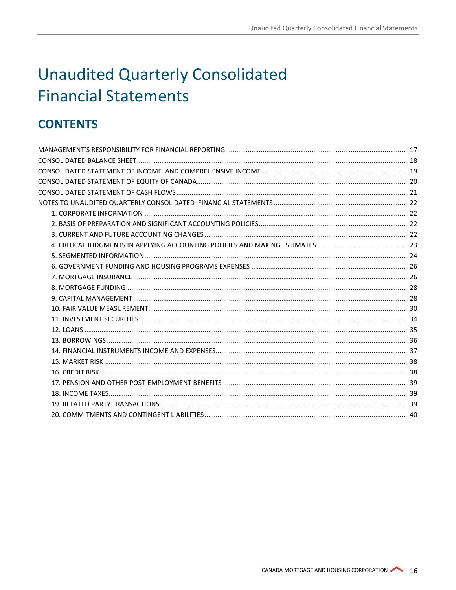# <span id="page-15-0"></span>**Unaudited Quarterly Consolidated Financial Statements**

# **CONTENTS**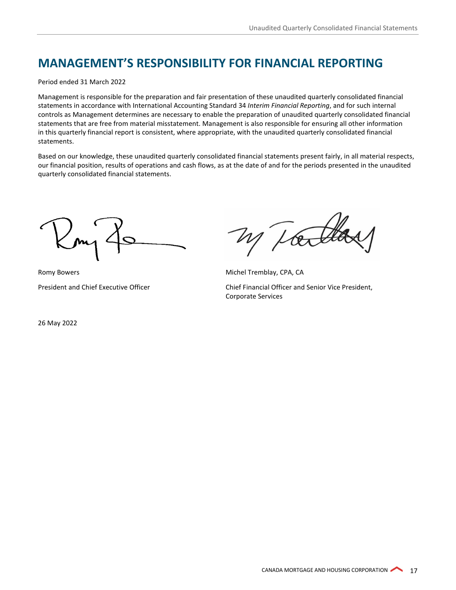# <span id="page-16-0"></span>**MANAGEMENT'S RESPONSIBILITY FOR FINANCIAL REPORTING**

Period ended 31 March 2022

Management is responsible for the preparation and fair presentation of these unaudited quarterly consolidated financial statements in accordance with International Accounting Standard 34 *Interim Financial Reporting*, and for such internal controls as Management determines are necessary to enable the preparation of unaudited quarterly consolidated financial statements that are free from material misstatement. Management is also responsible for ensuring all other information in this quarterly financial report is consistent, where appropriate, with the unaudited quarterly consolidated financial statements.

Based on our knowledge, these unaudited quarterly consolidated financial statements present fairly, in all material respects, our financial position, results of operations and cash flows, as at the date of and for the periods presented in the unaudited quarterly consolidated financial statements.

Romy Bowers **Michel Tremblay, CPA, CA** 

President and Chief Executive Officer Chief Financial Officer and Senior Vice President, Corporate Services

26 May 2022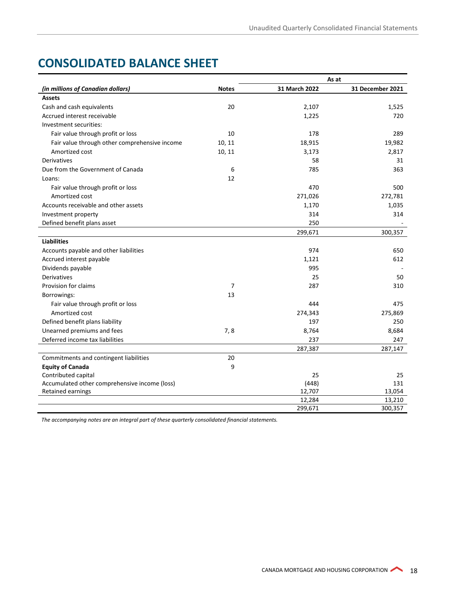# <span id="page-17-0"></span>**CONSOLIDATED BALANCE SHEET**

|                                               |                |               | As at            |
|-----------------------------------------------|----------------|---------------|------------------|
| (in millions of Canadian dollars)             | <b>Notes</b>   | 31 March 2022 | 31 December 2021 |
| <b>Assets</b>                                 |                |               |                  |
| Cash and cash equivalents                     | 20             | 2,107         | 1,525            |
| Accrued interest receivable                   |                | 1,225         | 720              |
| Investment securities:                        |                |               |                  |
| Fair value through profit or loss             | 10             | 178           | 289              |
| Fair value through other comprehensive income | 10, 11         | 18,915        | 19,982           |
| Amortized cost                                | 10, 11         | 3,173         | 2,817            |
| <b>Derivatives</b>                            |                | 58            | 31               |
| Due from the Government of Canada             | 6              | 785           | 363              |
| Loans:                                        | 12             |               |                  |
| Fair value through profit or loss             |                | 470           | 500              |
| Amortized cost                                |                | 271,026       | 272,781          |
| Accounts receivable and other assets          |                | 1,170         | 1,035            |
| Investment property                           |                | 314           | 314              |
| Defined benefit plans asset                   |                | 250           |                  |
|                                               |                | 299,671       | 300,357          |
| <b>Liabilities</b>                            |                |               |                  |
| Accounts payable and other liabilities        |                | 974           | 650              |
| Accrued interest payable                      |                | 1,121         | 612              |
| Dividends payable                             |                | 995           |                  |
| Derivatives                                   |                | 25            | 50               |
| Provision for claims                          | $\overline{7}$ | 287           | 310              |
| Borrowings:                                   | 13             |               |                  |
| Fair value through profit or loss             |                | 444           | 475              |
| Amortized cost                                |                | 274,343       | 275,869          |
| Defined benefit plans liability               |                | 197           | 250              |
| Unearned premiums and fees                    | 7,8            | 8,764         | 8,684            |
| Deferred income tax liabilities               |                | 237           | 247              |
|                                               |                | 287,387       | 287,147          |
| Commitments and contingent liabilities        | 20             |               |                  |
| <b>Equity of Canada</b>                       | 9              |               |                  |
| Contributed capital                           |                | 25            | 25               |
| Accumulated other comprehensive income (loss) |                | (448)         | 131              |
| <b>Retained earnings</b>                      |                | 12,707        | 13,054           |
|                                               |                | 12,284        | 13,210           |
|                                               |                | 299,671       | 300,357          |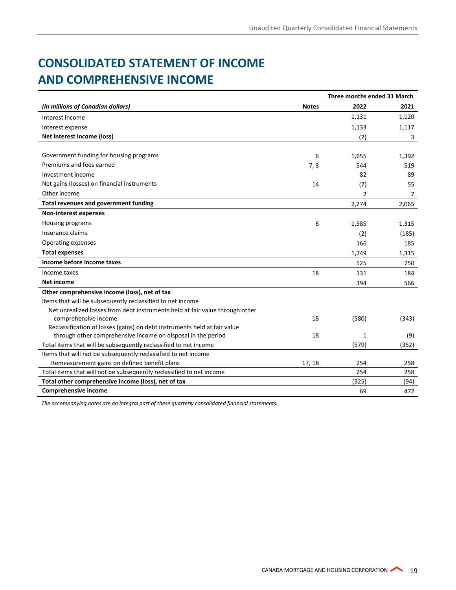# <span id="page-18-0"></span>**CONSOLIDATED STATEMENT OF INCOME AND COMPREHENSIVE INCOME**

|                                                                              |              | Three months ended 31 March |       |
|------------------------------------------------------------------------------|--------------|-----------------------------|-------|
| (in millions of Canadian dollars)                                            | <b>Notes</b> | 2022                        | 2021  |
| Interest income                                                              |              | 1,131                       | 1,120 |
| Interest expense                                                             |              | 1,133                       | 1,117 |
| Net interest income (loss)                                                   |              | (2)                         | 3     |
| Government funding for housing programs                                      | 6            | 1,655                       | 1,392 |
| Premiums and fees earned                                                     | 7,8          | 544                         | 519   |
| Investment income                                                            |              | 82                          | 89    |
| Net gains (losses) on financial instruments                                  | 14           | (7)                         | 55    |
| Other income                                                                 |              | 2                           | 7     |
| <b>Total revenues and government funding</b>                                 |              | 2,274                       | 2,065 |
| <b>Non-interest expenses</b>                                                 |              |                             |       |
| Housing programs                                                             | 6            | 1,585                       | 1,315 |
| Insurance claims                                                             |              | (2)                         | (185) |
| Operating expenses                                                           |              | 166                         | 185   |
| <b>Total expenses</b>                                                        |              | 1.749                       | 1,315 |
| Income before income taxes                                                   |              | 525                         | 750   |
| Income taxes                                                                 | 18           | 131                         | 184   |
| Net income                                                                   |              | 394                         | 566   |
| Other comprehensive income (loss), net of tax                                |              |                             |       |
| Items that will be subsequently reclassified to net income                   |              |                             |       |
| Net unrealized losses from debt instruments held at fair value through other |              |                             |       |
| comprehensive income                                                         | 18           | (580)                       | (343) |
| Reclassification of losses (gains) on debt instruments held at fair value    |              |                             |       |
| through other comprehensive income on disposal in the period                 | 18           | 1                           | (9)   |
| Total items that will be subsequently reclassified to net income             |              | (579)                       | (352) |
| Items that will not be subsequently reclassified to net income               |              |                             |       |
| Remeasurement gains on defined benefit plans                                 | 17, 18       | 254                         | 258   |
| Total items that will not be subsequently reclassified to net income         |              | 254                         | 258   |
| Total other comprehensive income (loss), net of tax                          |              | (325)                       | (94)  |
| <b>Comprehensive income</b>                                                  |              | 69                          | 472   |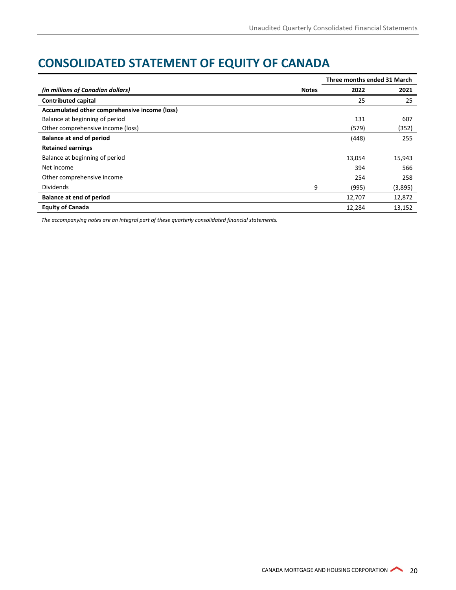# <span id="page-19-0"></span>**CONSOLIDATED STATEMENT OF EQUITY OF CANADA**

|                                               |              | Three months ended 31 March |         |  |
|-----------------------------------------------|--------------|-----------------------------|---------|--|
| (in millions of Canadian dollars)             | <b>Notes</b> | 2022                        | 2021    |  |
| <b>Contributed capital</b>                    |              | 25                          | 25      |  |
| Accumulated other comprehensive income (loss) |              |                             |         |  |
| Balance at beginning of period                |              | 131                         | 607     |  |
| Other comprehensive income (loss)             |              | (579)                       | (352)   |  |
| <b>Balance at end of period</b>               |              | (448)                       | 255     |  |
| <b>Retained earnings</b>                      |              |                             |         |  |
| Balance at beginning of period                |              | 13,054                      | 15,943  |  |
| Net income                                    |              | 394                         | 566     |  |
| Other comprehensive income                    |              | 254                         | 258     |  |
| <b>Dividends</b>                              | 9            | (995)                       | (3,895) |  |
| <b>Balance at end of period</b>               |              | 12,707                      | 12,872  |  |
| <b>Equity of Canada</b>                       |              | 12,284                      | 13,152  |  |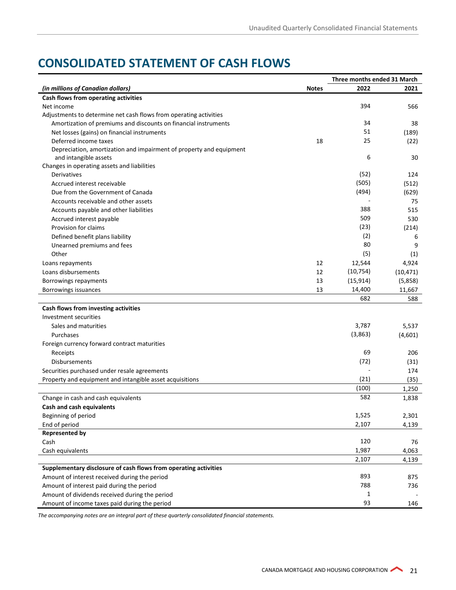# <span id="page-20-0"></span>**CONSOLIDATED STATEMENT OF CASH FLOWS**

|                                                                                              | Three months ended 31 March |              |           |
|----------------------------------------------------------------------------------------------|-----------------------------|--------------|-----------|
| (in millions of Canadian dollars)                                                            | <b>Notes</b>                | 2022         | 2021      |
| Cash flows from operating activities                                                         |                             |              |           |
| Net income                                                                                   |                             | 394          | 566       |
| Adjustments to determine net cash flows from operating activities                            |                             |              |           |
| Amortization of premiums and discounts on financial instruments                              |                             | 34           | 38        |
| Net losses (gains) on financial instruments                                                  |                             | 51           | (189)     |
| Deferred income taxes                                                                        | 18                          | 25           | (22)      |
| Depreciation, amortization and impairment of property and equipment<br>and intangible assets |                             | 6            | 30        |
| Changes in operating assets and liabilities                                                  |                             |              |           |
| Derivatives                                                                                  |                             | (52)         | 124       |
| Accrued interest receivable                                                                  |                             | (505)        | (512)     |
| Due from the Government of Canada                                                            |                             | (494)        | (629)     |
| Accounts receivable and other assets                                                         |                             |              | 75        |
| Accounts payable and other liabilities                                                       |                             | 388          | 515       |
| Accrued interest payable                                                                     |                             | 509          | 530       |
| Provision for claims                                                                         |                             | (23)         | (214)     |
| Defined benefit plans liability                                                              |                             | (2)          | 6         |
| Unearned premiums and fees                                                                   |                             | 80           | 9         |
| Other                                                                                        |                             | (5)          | (1)       |
| Loans repayments                                                                             | 12                          | 12,544       | 4,924     |
| Loans disbursements                                                                          | 12                          | (10, 754)    | (10, 471) |
| Borrowings repayments                                                                        | 13                          | (15, 914)    | (5,858)   |
| Borrowings issuances                                                                         | 13                          | 14,400       | 11,667    |
|                                                                                              |                             | 682          | 588       |
| Cash flows from investing activities                                                         |                             |              |           |
| Investment securities                                                                        |                             |              |           |
| Sales and maturities                                                                         |                             | 3,787        | 5,537     |
| Purchases                                                                                    |                             | (3,863)      | (4,601)   |
| Foreign currency forward contract maturities                                                 |                             |              |           |
| Receipts                                                                                     |                             | 69           | 206       |
| Disbursements                                                                                |                             | (72)         | (31)      |
| Securities purchased under resale agreements                                                 |                             |              | 174       |
| Property and equipment and intangible asset acquisitions                                     |                             | (21)         | (35)      |
|                                                                                              |                             | (100)        | 1,250     |
| Change in cash and cash equivalents                                                          |                             | 582          | 1,838     |
| <b>Cash and cash equivalents</b>                                                             |                             |              |           |
| Beginning of period                                                                          |                             | 1,525        | 2,301     |
| End of period                                                                                |                             | 2,107        | 4,139     |
| <b>Represented by</b>                                                                        |                             |              |           |
| Cash                                                                                         |                             | 120          | 76        |
| Cash equivalents                                                                             |                             | 1,987        | 4,063     |
| Supplementary disclosure of cash flows from operating activities                             |                             | 2,107        | 4,139     |
| Amount of interest received during the period                                                |                             | 893          | 875       |
| Amount of interest paid during the period                                                    |                             | 788          | 736       |
| Amount of dividends received during the period                                               |                             | $\mathbf{1}$ |           |
| Amount of income taxes paid during the period                                                |                             | 93           | 146       |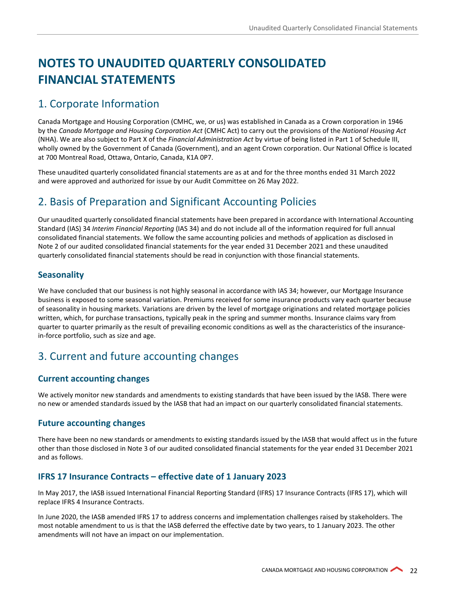# <span id="page-21-0"></span>**NOTES TO UNAUDITED QUARTERLY CONSOLIDATED FINANCIAL STATEMENTS**

# <span id="page-21-1"></span>1. Corporate Information

Canada Mortgage and Housing Corporation (CMHC, we, or us) was established in Canada as a Crown corporation in 1946 by the *Canada Mortgage and Housing Corporation Act* (CMHC Act) to carry out the provisions of the *National Housing Act* (NHA). We are also subject to Part X of the *Financial Administration Act* by virtue of being listed in Part 1 of Schedule III, wholly owned by the Government of Canada (Government), and an agent Crown corporation. Our National Office is located at 700 Montreal Road, Ottawa, Ontario, Canada, K1A 0P7.

These unaudited quarterly consolidated financial statements are as at and for the three months ended 31 March 2022 and were approved and authorized for issue by our Audit Committee on 26 May 2022.

# <span id="page-21-2"></span>2. Basis of Preparation and Significant Accounting Policies

Our unaudited quarterly consolidated financial statements have been prepared in accordance with International Accounting Standard (IAS) 34 *Interim Financial Reporting* (IAS 34) and do not include all of the information required for full annual consolidated financial statements. We follow the same accounting policies and methods of application as disclosed in Note 2 of our audited consolidated financial statements for the year ended 31 December 2021 and these unaudited quarterly consolidated financial statements should be read in conjunction with those financial statements.

#### **Seasonality**

We have concluded that our business is not highly seasonal in accordance with IAS 34; however, our Mortgage Insurance business is exposed to some seasonal variation. Premiums received for some insurance products vary each quarter because of seasonality in housing markets. Variations are driven by the level of mortgage originations and related mortgage policies written, which, for purchase transactions, typically peak in the spring and summer months. Insurance claims vary from quarter to quarter primarily as the result of prevailing economic conditions as well as the characteristics of the insurancein-force portfolio, such as size and age.

# <span id="page-21-3"></span>3. Current and future accounting changes

#### **Current accounting changes**

We actively monitor new standards and amendments to existing standards that have been issued by the IASB. There were no new or amended standards issued by the IASB that had an impact on our quarterly consolidated financial statements.

#### **Future accounting changes**

There have been no new standards or amendments to existing standards issued by the IASB that would affect us in the future other than those disclosed in Note 3 of our audited consolidated financial statements for the year ended 31 December 2021 and as follows.

#### **IFRS 17 Insurance Contracts – effective date of 1 January 2023**

In May 2017, the IASB issued International Financial Reporting Standard (IFRS) 17 Insurance Contracts (IFRS 17), which will replace IFRS 4 Insurance Contracts.

In June 2020, the IASB amended IFRS 17 to address concerns and implementation challenges raised by stakeholders. The most notable amendment to us is that the IASB deferred the effective date by two years, to 1 January 2023. The other amendments will not have an impact on our implementation.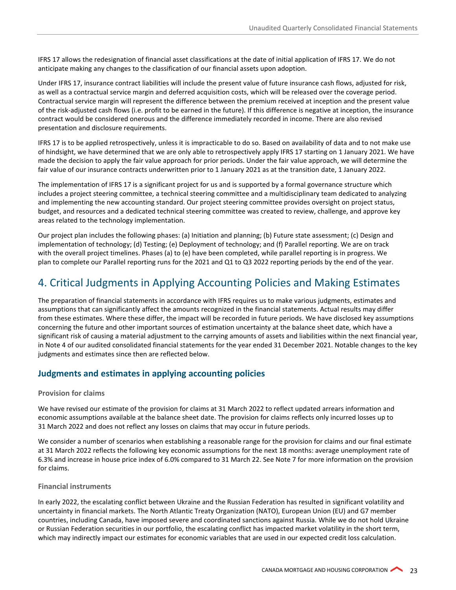IFRS 17 allows the redesignation of financial asset classifications at the date of initial application of IFRS 17. We do not anticipate making any changes to the classification of our financial assets upon adoption.

Under IFRS 17, insurance contract liabilities will include the present value of future insurance cash flows, adjusted for risk, as well as a contractual service margin and deferred acquisition costs, which will be released over the coverage period. Contractual service margin will represent the difference between the premium received at inception and the present value of the risk-adjusted cash flows (i.e. profit to be earned in the future). If this difference is negative at inception, the insurance contract would be considered onerous and the difference immediately recorded in income. There are also revised presentation and disclosure requirements.

IFRS 17 is to be applied retrospectively, unless it is impracticable to do so. Based on availability of data and to not make use of hindsight, we have determined that we are only able to retrospectively apply IFRS 17 starting on 1 January 2021. We have made the decision to apply the fair value approach for prior periods. Under the fair value approach, we will determine the fair value of our insurance contracts underwritten prior to 1 January 2021 as at the transition date, 1 January 2022.

The implementation of IFRS 17 is a significant project for us and is supported by a formal governance structure which includes a project steering committee, a technical steering committee and a multidisciplinary team dedicated to analyzing and implementing the new accounting standard. Our project steering committee provides oversight on project status, budget, and resources and a dedicated technical steering committee was created to review, challenge, and approve key areas related to the technology implementation.

Our project plan includes the following phases: (a) Initiation and planning; (b) Future state assessment; (c) Design and implementation of technology; (d) Testing; (e) Deployment of technology; and (f) Parallel reporting. We are on track with the overall project timelines. Phases (a) to (e) have been completed, while parallel reporting is in progress. We plan to complete our Parallel reporting runs for the 2021 and Q1 to Q3 2022 reporting periods by the end of the year.

# <span id="page-22-0"></span>4. Critical Judgments in Applying Accounting Policies and Making Estimates

The preparation of financial statements in accordance with IFRS requires us to make various judgments, estimates and assumptions that can significantly affect the amounts recognized in the financial statements. Actual results may differ from these estimates. Where these differ, the impact will be recorded in future periods. We have disclosed key assumptions concerning the future and other important sources of estimation uncertainty at the balance sheet date, which have a significant risk of causing a material adjustment to the carrying amounts of assets and liabilities within the next financial year, in Note 4 of our audited consolidated financial statements for the year ended 31 December 2021. Notable changes to the key judgments and estimates since then are reflected below.

#### **Judgments and estimates in applying accounting policies**

#### **Provision for claims**

We have revised our estimate of the provision for claims at 31 March 2022 to reflect updated arrears information and economic assumptions available at the balance sheet date. The provision for claims reflects only incurred losses up to 31 March 2022 and does not reflect any losses on claims that may occur in future periods.

We consider a number of scenarios when establishing a reasonable range for the provision for claims and our final estimate at 31 March 2022 reflects the following key economic assumptions for the next 18 months: average unemployment rate of 6.3% and increase in house price index of 6.0% compared to 31 March 22. See Note 7 for more information on the provision for claims.

#### **Financial instruments**

In early 2022, the escalating conflict between Ukraine and the Russian Federation has resulted in significant volatility and uncertainty in financial markets. The North Atlantic Treaty Organization (NATO), European Union (EU) and G7 member countries, including Canada, have imposed severe and coordinated sanctions against Russia. While we do not hold Ukraine or Russian Federation securities in our portfolio, the escalating conflict has impacted market volatility in the short term, which may indirectly impact our estimates for economic variables that are used in our expected credit loss calculation.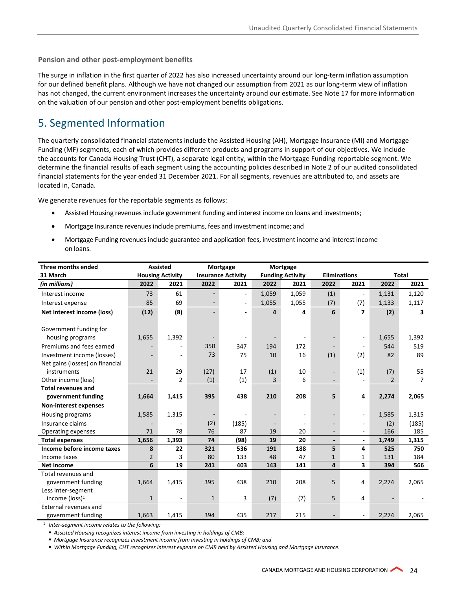**Pension and other post-employment benefits**

The surge in inflation in the first quarter of 2022 has also increased uncertainty around our long-term inflation assumption for our defined benefit plans. Although we have not changed our assumption from 2021 as our long-term view of inflation has not changed, the current environment increases the uncertainty around our estimate. See Note 17 for more information on the valuation of our pension and other post-employment benefits obligations.

# <span id="page-23-0"></span>5. Segmented Information

The quarterly consolidated financial statements include the Assisted Housing (AH), Mortgage Insurance (MI) and Mortgage Funding (MF) segments, each of which provides different products and programs in support of our objectives. We include the accounts for Canada Housing Trust (CHT), a separate legal entity, within the Mortgage Funding reportable segment. We determine the financial results of each segment using the accounting policies described in Note 2 of our audited consolidated financial statements for the year ended 31 December 2021. For all segments, revenues are attributed to, and assets are located in, Canada.

We generate revenues for the reportable segments as follows:

- Assisted Housing revenues include government funding and interest income on loans and investments;
- Mortgage Insurance revenues include premiums, fees and investment income; and
- Mortgage Funding revenues include guarantee and application fees, investment income and interest income on loans.

| Three months ended              |                | <b>Assisted</b>         |              | Mortgage                  |                | Mortgage                |                          |                          |               |              |
|---------------------------------|----------------|-------------------------|--------------|---------------------------|----------------|-------------------------|--------------------------|--------------------------|---------------|--------------|
| 31 March                        |                | <b>Housing Activity</b> |              | <b>Insurance Activity</b> |                | <b>Funding Activity</b> | <b>Eliminations</b>      |                          |               | <b>Total</b> |
| (in millions)                   | 2022           | 2021                    | 2022         | 2021                      | 2022           | 2021                    | 2022                     | 2021                     | 2022          | 2021         |
| Interest income                 | 73             | 61                      |              | $\overline{\phantom{a}}$  | 1,059          | 1,059                   | (1)                      | $\overline{\phantom{a}}$ | 1,131         | 1,120        |
| Interest expense                | 85             | 69                      |              | $\blacksquare$            | 1,055          | 1,055                   | (7)                      | (7)                      | 1,133         | 1,117        |
| Net interest income (loss)      | (12)           | (8)                     |              |                           | 4              | 4                       | 6                        | 7                        | (2)           | 3            |
|                                 |                |                         |              |                           |                |                         |                          |                          |               |              |
| Government funding for          |                |                         |              |                           |                |                         |                          |                          |               |              |
| housing programs                | 1,655          | 1,392                   |              |                           |                |                         |                          | $\overline{\phantom{a}}$ | 1,655         | 1,392        |
| Premiums and fees earned        |                |                         | 350          | 347                       | 194            | 172                     |                          | $\overline{\phantom{a}}$ | 544           | 519          |
| Investment income (losses)      |                |                         | 73           | 75                        | 10             | 16                      | (1)                      | (2)                      | 82            | 89           |
| Net gains (losses) on financial |                |                         |              |                           |                |                         |                          |                          |               |              |
| instruments                     | 21             | 29                      | (27)         | 17                        | (1)            | 10                      | $\overline{\phantom{a}}$ | (1)                      | (7)           | 55           |
| Other income (loss)             |                | $\overline{2}$          | (1)          | (1)                       | 3              | 6                       | $\overline{\phantom{a}}$ |                          | $\mathcal{P}$ | 7            |
| <b>Total revenues and</b>       |                |                         |              |                           |                |                         |                          |                          |               |              |
| government funding              | 1,664          | 1,415                   | 395          | 438                       | 210            | 208                     | 5                        | 4                        | 2,274         | 2,065        |
| <b>Non-interest expenses</b>    |                |                         |              |                           |                |                         |                          |                          |               |              |
| Housing programs                | 1,585          | 1,315                   |              |                           |                |                         |                          | ÷,                       | 1,585         | 1,315        |
| Insurance claims                |                |                         | (2)          | (185)                     | $\blacksquare$ |                         |                          | $\overline{\phantom{a}}$ | (2)           | (185)        |
| Operating expenses              | 71             | 78                      | 76           | 87                        | 19             | 20                      |                          | $\overline{\phantom{a}}$ | 166           | 185          |
| <b>Total expenses</b>           | 1,656          | 1,393                   | 74           | (98)                      | 19             | 20                      | $\overline{\phantom{a}}$ | $\blacksquare$           | 1,749         | 1,315        |
| Income before income taxes      | 8              | 22                      | 321          | 536                       | 191            | 188                     | 5                        | 4                        | 525           | 750          |
| Income taxes                    | $\overline{2}$ | 3                       | 80           | 133                       | 48             | 47                      | $\mathbf{1}$             | 1                        | 131           | 184          |
| <b>Net income</b>               | 6              | 19                      | 241          | 403                       | 143            | 141                     | 4                        | $\overline{\mathbf{3}}$  | 394           | 566          |
| Total revenues and              |                |                         |              |                           |                |                         |                          |                          |               |              |
| government funding              | 1,664          | 1,415                   | 395          | 438                       | 210            | 208                     | 5                        | 4                        | 2,274         | 2,065        |
| Less inter-segment              |                |                         |              |                           |                |                         |                          |                          |               |              |
| income (loss) <sup>1</sup>      | $\mathbf{1}$   | $\blacksquare$          | $\mathbf{1}$ | 3                         | (7)            | (7)                     | 5                        | 4                        |               |              |
| External revenues and           |                |                         |              |                           |                |                         |                          |                          |               |              |
| government funding              | 1,663          | 1,415                   | 394          | 435                       | 217            | 215                     |                          | ÷,                       | 2,274         | 2,065        |

<sup>1</sup> *Inter-segment income relates to the following:*

*Assisted Housing recognizes interest income from investing in holdings of CMB;*

*Mortgage Insurance recognizes investment income from investing in holdings of CMB; and*

*Within Mortgage Funding, CHT recognizes interest expense on CMB held by Assisted Housing and Mortgage Insurance.*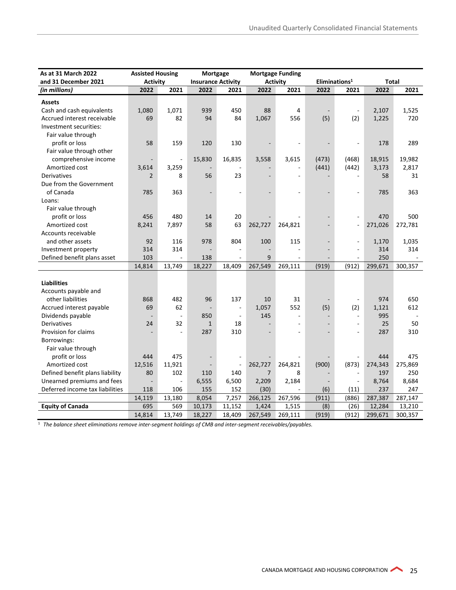# **Table of Contents**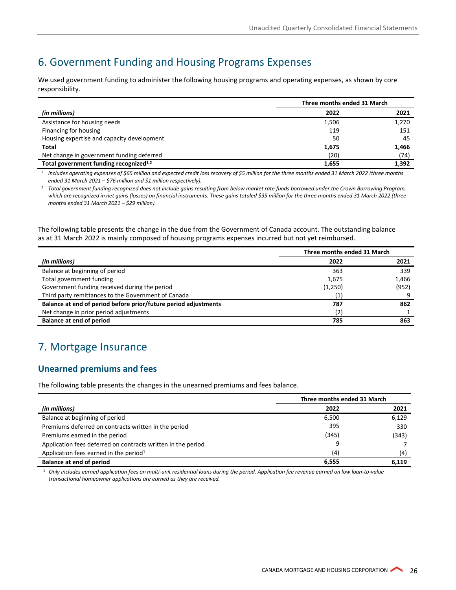# <span id="page-25-0"></span>6. Government Funding and Housing Programs Expenses

We used government funding to administer the following housing programs and operating expenses, as shown by core responsibility.

|                                                    | Three months ended 31 March |       |  |
|----------------------------------------------------|-----------------------------|-------|--|
| (in millions)                                      | 2022                        | 2021  |  |
| Assistance for housing needs                       | 1,506                       | 1,270 |  |
| Financing for housing                              | 119                         | 151   |  |
| Housing expertise and capacity development         | 50                          | 45    |  |
| <b>Total</b>                                       | 1,675                       | 1,466 |  |
| Net change in government funding deferred          | (20)                        | (74)  |  |
| Total government funding recognized <sup>1,2</sup> | 1.655                       | 1,392 |  |

<sup>1</sup> *Includes operating expenses of \$65 million and expected credit loss recovery of \$5 million for the three months ended 31 March 2022 (three months ended 31 March 2021 – \$76 million and \$1 million respectively).* 

<sup>2</sup> *Total government funding recognized does not include gains resulting from below market rate funds borrowed under the Crown Borrowing Program,*  which are recognized in net gains (losses) on financial instruments. These gains totaled \$35 million for the three months ended 31 March 2022 (three *months ended 31 March 2021 – \$29 million).*

The following table presents the change in the due from the Government of Canada account. The outstanding balance as at 31 March 2022 is mainly composed of housing programs expenses incurred but not yet reimbursed.

|                                                                 | Three months ended 31 March |       |  |
|-----------------------------------------------------------------|-----------------------------|-------|--|
| (in millions)                                                   | 2022                        | 2021  |  |
| Balance at beginning of period                                  | 363                         | 339   |  |
| Total government funding                                        | 1,675                       | 1,466 |  |
| Government funding received during the period                   | (1,250)                     | (952) |  |
| Third party remittances to the Government of Canada             | (1)                         |       |  |
| Balance at end of period before prior/future period adjustments | 787                         | 862   |  |
| Net change in prior period adjustments                          | (2)                         |       |  |
| <b>Balance at end of period</b>                                 | 785                         | 863   |  |

# <span id="page-25-1"></span>7. Mortgage Insurance

#### **Unearned premiums and fees**

The following table presents the changes in the unearned premiums and fees balance.

|                                                              | Three months ended 31 March |       |  |
|--------------------------------------------------------------|-----------------------------|-------|--|
| (in millions)                                                | 2022                        | 2021  |  |
| Balance at beginning of period                               | 6,500                       | 6,129 |  |
| Premiums deferred on contracts written in the period         | 395                         | 330   |  |
| Premiums earned in the period                                | (345)                       | (343) |  |
| Application fees deferred on contracts written in the period | 9                           |       |  |
| Application fees earned in the period <sup>1</sup>           | (4)                         | (4)   |  |
| Balance at end of period                                     | 6,555                       | 6,119 |  |

<sup>1</sup> *Only includes earned application fees on multi-unit residential loans during the period. Application fee revenue earned on low loan-to-value transactional homeowner applications are earned as they are received.*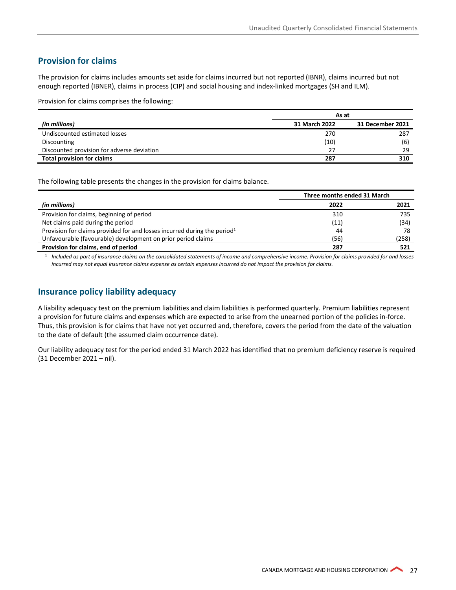#### **Provision for claims**

The provision for claims includes amounts set aside for claims incurred but not reported (IBNR), claims incurred but not enough reported (IBNER), claims in process (CIP) and social housing and index-linked mortgages (SH and ILM).

Provision for claims comprises the following:

|                                            | As at         |                  |  |
|--------------------------------------------|---------------|------------------|--|
| (in millions)                              | 31 March 2022 | 31 December 2021 |  |
| Undiscounted estimated losses              | 270           | 287              |  |
| Discounting                                | (10)          | (6)              |  |
| Discounted provision for adverse deviation | 27            | 29               |  |
| <b>Total provision for claims</b>          | 287           | 310              |  |

The following table presents the changes in the provision for claims balance.

|                                                                                      | Three months ended 31 March |       |  |
|--------------------------------------------------------------------------------------|-----------------------------|-------|--|
| (in millions)                                                                        | 2022                        | 2021  |  |
| Provision for claims, beginning of period                                            | 310                         | 735   |  |
| Net claims paid during the period                                                    | (11)                        | (34)  |  |
| Provision for claims provided for and losses incurred during the period <sup>1</sup> | 44                          | 78    |  |
| Unfavourable (favourable) development on prior period claims                         | (56)                        | (258) |  |
| Provision for claims, end of period                                                  | 287                         | 521   |  |

<sup>1</sup> *Included as part of insurance claims on the consolidated statements of income and comprehensive income. Provision for claims provided for and losses incurred may not equal insurance claims expense as certain expenses incurred do not impact the provision for claims.*

#### **Insurance policy liability adequacy**

A liability adequacy test on the premium liabilities and claim liabilities is performed quarterly. Premium liabilities represent a provision for future claims and expenses which are expected to arise from the unearned portion of the policies in-force. Thus, this provision is for claims that have not yet occurred and, therefore, covers the period from the date of the valuation to the date of default (the assumed claim occurrence date).

Our liability adequacy test for the period ended 31 March 2022 has identified that no premium deficiency reserve is required (31 December 2021 – nil).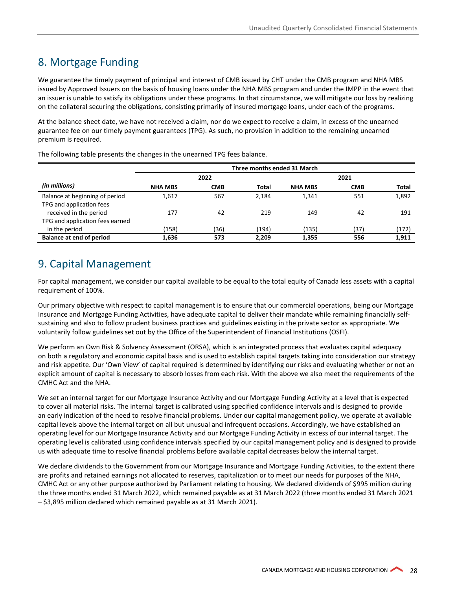# <span id="page-27-0"></span>8. Mortgage Funding

We guarantee the timely payment of principal and interest of CMB issued by CHT under the CMB program and NHA MBS issued by Approved Issuers on the basis of housing loans under the NHA MBS program and under the IMPP in the event that an issuer is unable to satisfy its obligations under these programs. In that circumstance, we will mitigate our loss by realizing on the collateral securing the obligations, consisting primarily of insured mortgage loans, under each of the programs.

At the balance sheet date, we have not received a claim, nor do we expect to receive a claim, in excess of the unearned guarantee fee on our timely payment guarantees (TPG). As such, no provision in addition to the remaining unearned premium is required.

|                                 | Three months ended 31 March |            |              |                |            |              |
|---------------------------------|-----------------------------|------------|--------------|----------------|------------|--------------|
|                                 |                             | 2022       |              |                | 2021       |              |
| (in millions)                   | <b>NHA MBS</b>              | <b>CMB</b> | <b>Total</b> | <b>NHA MBS</b> | <b>CMB</b> | <b>Total</b> |
| Balance at beginning of period  | 1,617                       | 567        | 2.184        | 1.341          | 551        | 1,892        |
| TPG and application fees        |                             |            |              |                |            |              |
| received in the period          | 177                         | 42         | 219          | 149            | 42         | 191          |
| TPG and application fees earned |                             |            |              |                |            |              |
| in the period                   | (158)                       | (36)       | (194)        | (135)          | (37)       | (172)        |
| <b>Balance at end of period</b> | 1,636                       | 573        | 2,209        | 1,355          | 556        | 1,911        |

The following table presents the changes in the unearned TPG fees balance.

# <span id="page-27-1"></span>9. Capital Management

For capital management, we consider our capital available to be equal to the total equity of Canada less assets with a capital requirement of 100%.

Our primary objective with respect to capital management is to ensure that our commercial operations, being our Mortgage Insurance and Mortgage Funding Activities, have adequate capital to deliver their mandate while remaining financially selfsustaining and also to follow prudent business practices and guidelines existing in the private sector as appropriate. We voluntarily follow guidelines set out by the Office of the Superintendent of Financial Institutions (OSFI).

We perform an Own Risk & Solvency Assessment (ORSA), which is an integrated process that evaluates capital adequacy on both a regulatory and economic capital basis and is used to establish capital targets taking into consideration our strategy and risk appetite. Our 'Own View' of capital required is determined by identifying our risks and evaluating whether or not an explicit amount of capital is necessary to absorb losses from each risk. With the above we also meet the requirements of the CMHC Act and the NHA.

We set an internal target for our Mortgage Insurance Activity and our Mortgage Funding Activity at a level that is expected to cover all material risks. The internal target is calibrated using specified confidence intervals and is designed to provide an early indication of the need to resolve financial problems. Under our capital management policy, we operate at available capital levels above the internal target on all but unusual and infrequent occasions. Accordingly, we have established an operating level for our Mortgage Insurance Activity and our Mortgage Funding Activity in excess of our internal target. The operating level is calibrated using confidence intervals specified by our capital management policy and is designed to provide us with adequate time to resolve financial problems before available capital decreases below the internal target.

We declare dividends to the Government from our Mortgage Insurance and Mortgage Funding Activities, to the extent there are profits and retained earnings not allocated to reserves, capitalization or to meet our needs for purposes of the NHA, CMHC Act or any other purpose authorized by Parliament relating to housing. We declared dividends of \$995 million during the three months ended 31 March 2022, which remained payable as at 31 March 2022 (three months ended 31 March 2021 – \$3,895 million declared which remained payable as at 31 March 2021).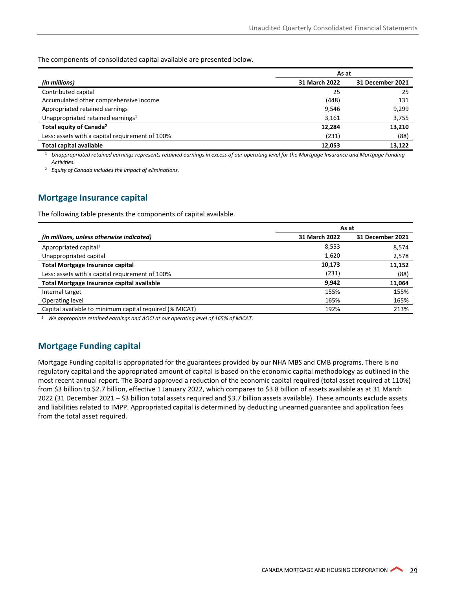The components of consolidated capital available are presented below.

|                                                 | As at         |                  |  |  |
|-------------------------------------------------|---------------|------------------|--|--|
| (in millions)                                   | 31 March 2022 | 31 December 2021 |  |  |
| Contributed capital                             | 25            | 25               |  |  |
| Accumulated other comprehensive income          | (448)         | 131              |  |  |
| Appropriated retained earnings                  | 9,546         | 9,299            |  |  |
| Unappropriated retained earnings <sup>1</sup>   | 3,161         | 3,755            |  |  |
| Total equity of Canada <sup>2</sup>             | 12,284        | 13,210           |  |  |
| Less: assets with a capital requirement of 100% | (231)         | (88)             |  |  |
| <b>Total capital available</b>                  | 12,053        | 13,122           |  |  |

<sup>1</sup> *Unappropriated retained earnings represents retained earnings in excess of our operating level for the Mortgage Insurance and Mortgage Funding Activities.*

<sup>2</sup> *Equity of Canada includes the impact of eliminations.*

#### **Mortgage Insurance capital**

The following table presents the components of capital available.

|                                                         | As at         |                         |  |  |
|---------------------------------------------------------|---------------|-------------------------|--|--|
| (in millions, unless otherwise indicated)               | 31 March 2022 | <b>31 December 2021</b> |  |  |
| Appropriated capital <sup>1</sup>                       | 8,553         | 8,574                   |  |  |
| Unappropriated capital                                  | 1,620         | 2,578                   |  |  |
| <b>Total Mortgage Insurance capital</b>                 | 10,173        | 11,152                  |  |  |
| Less: assets with a capital requirement of 100%         | (231)         | (88)                    |  |  |
| <b>Total Mortgage Insurance capital available</b>       | 9,942         | 11,064                  |  |  |
| Internal target                                         | 155%          | 155%                    |  |  |
| Operating level                                         | 165%          | 165%                    |  |  |
| Capital available to minimum capital required (% MICAT) | 192%          | 213%                    |  |  |

<sup>1</sup> *We appropriate retained earnings and AOCI at our operating level of 165% of MICAT.*

#### **Mortgage Funding capital**

Mortgage Funding capital is appropriated for the guarantees provided by our NHA MBS and CMB programs. There is no regulatory capital and the appropriated amount of capital is based on the economic capital methodology as outlined in the most recent annual report. The Board approved a reduction of the economic capital required (total asset required at 110%) from \$3 billion to \$2.7 billion, effective 1 January 2022, which compares to \$3.8 billion of assets available as at 31 March 2022 (31 December 2021 – \$3 billion total assets required and \$3.7 billion assets available). These amounts exclude assets and liabilities related to IMPP. Appropriated capital is determined by deducting unearned guarantee and application fees from the total asset required.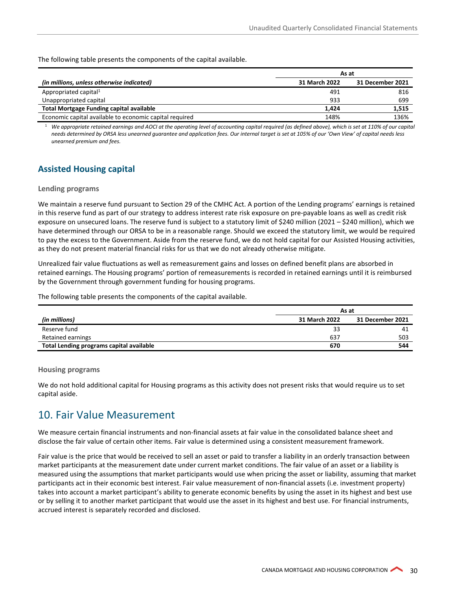The following table presents the components of the capital available.

|                                                         | As at         |                  |  |
|---------------------------------------------------------|---------------|------------------|--|
| (in millions, unless otherwise indicated)               | 31 March 2022 | 31 December 2021 |  |
| Appropriated capital <sup>1</sup>                       | 491           | 816              |  |
| Unappropriated capital                                  | 933           | 699              |  |
| <b>Total Mortgage Funding capital available</b>         | 1.424         | 1,515            |  |
| Economic capital available to economic capital required | 148%          | 136%             |  |

<sup>1</sup> We appropriate retained earnings and AOCI at the operating level of accounting capital required (as defined above), which is set at 110% of our capital *needs determined by ORSA less unearned guarantee and application fees. Our internal target is set at 105% of our 'Own View' of capital needs less unearned premium and fees.*

#### **Assisted Housing capital**

#### **Lending programs**

We maintain a reserve fund pursuant to Section 29 of the CMHC Act. A portion of the Lending programs' earnings is retained in this reserve fund as part of our strategy to address interest rate risk exposure on pre-payable loans as well as credit risk exposure on unsecured loans. The reserve fund is subject to a statutory limit of \$240 million (2021 – \$240 million), which we have determined through our ORSA to be in a reasonable range. Should we exceed the statutory limit, we would be required to pay the excess to the Government. Aside from the reserve fund, we do not hold capital for our Assisted Housing activities, as they do not present material financial risks for us that we do not already otherwise mitigate.

Unrealized fair value fluctuations as well as remeasurement gains and losses on defined benefit plans are absorbed in retained earnings. The Housing programs' portion of remeasurements is recorded in retained earnings until it is reimbursed by the Government through government funding for housing programs.

The following table presents the components of the capital available.

|                                          | As at         |                  |  |
|------------------------------------------|---------------|------------------|--|
| (in millions)                            | 31 March 2022 | 31 December 2021 |  |
| Reserve fund                             | 33            | 41               |  |
| Retained earnings                        | 637           | 503              |  |
| Total Lending programs capital available | 670           | 544              |  |

#### **Housing programs**

We do not hold additional capital for Housing programs as this activity does not present risks that would require us to set capital aside.

### <span id="page-29-0"></span>10. Fair Value Measurement

We measure certain financial instruments and non-financial assets at fair value in the consolidated balance sheet and disclose the fair value of certain other items. Fair value is determined using a consistent measurement framework.

Fair value is the price that would be received to sell an asset or paid to transfer a liability in an orderly transaction between market participants at the measurement date under current market conditions. The fair value of an asset or a liability is measured using the assumptions that market participants would use when pricing the asset or liability, assuming that market participants act in their economic best interest. Fair value measurement of non-financial assets (i.e. investment property) takes into account a market participant's ability to generate economic benefits by using the asset in its highest and best use or by selling it to another market participant that would use the asset in its highest and best use. For financial instruments, accrued interest is separately recorded and disclosed.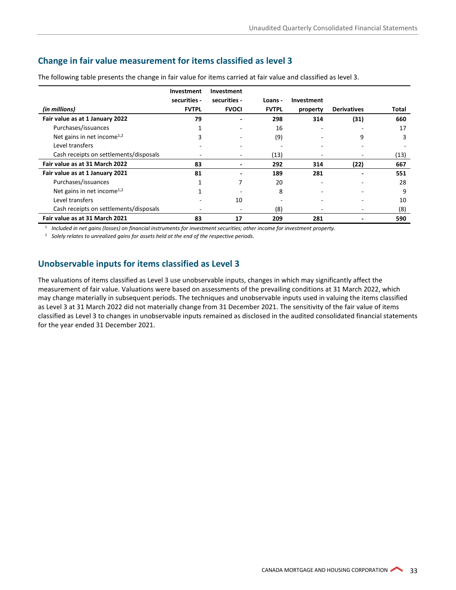#### **Change in fair value measurement for items classified as level 3**

|                                        | Investment<br>securities - | Investment<br>securities - | Loans -      | Investment |                    |       |
|----------------------------------------|----------------------------|----------------------------|--------------|------------|--------------------|-------|
| (in millions)                          | <b>FVTPL</b>               | <b>FVOCI</b>               | <b>FVTPL</b> | property   | <b>Derivatives</b> | Total |
| Fair value as at 1 January 2022        | 79                         |                            | 298          | 314        | (31)               | 660   |
| Purchases/issuances                    |                            |                            | 16           |            |                    | 17    |
| Net gains in net income <sup>1,2</sup> | 3                          |                            | (9)          |            | 9                  | 3     |
| Level transfers                        |                            |                            |              |            |                    |       |
| Cash receipts on settlements/disposals | $\overline{\phantom{0}}$   |                            | (13)         |            |                    | (13)  |
| Fair value as at 31 March 2022         | 83                         | $\overline{a}$             | 292          | 314        | (22)               | 667   |
| Fair value as at 1 January 2021        | 81                         |                            | 189          | 281        |                    | 551   |
| Purchases/issuances                    |                            | 7                          | 20           |            |                    | 28    |
| Net gains in net income <sup>1,2</sup> |                            |                            | 8            |            |                    | 9     |
| Level transfers                        |                            | 10                         |              |            |                    | 10    |
| Cash receipts on settlements/disposals | ٠                          | $\overline{\phantom{0}}$   | (8)          |            |                    | (8)   |
| Fair value as at 31 March 2021         | 83                         | 17                         | 209          | 281        |                    | 590   |

The following table presents the change in fair value for items carried at fair value and classified as level 3.

<sup>1</sup> *Included in net gains (losses) on financial instruments for investment securities; other income for investment property.*

<sup>2</sup> *Solely relates to unrealized gains for assets held at the end of the respective periods.* 

#### **Unobservable inputs for items classified as Level 3**

The valuations of items classified as Level 3 use unobservable inputs, changes in which may significantly affect the measurement of fair value. Valuations were based on assessments of the prevailing conditions at 31 March 2022, which may change materially in subsequent periods. The techniques and unobservable inputs used in valuing the items classified as Level 3 at 31 March 2022 did not materially change from 31 December 2021. The sensitivity of the fair value of items classified as Level 3 to changes in unobservable inputs remained as disclosed in the audited consolidated financial statements for the year ended 31 December 2021.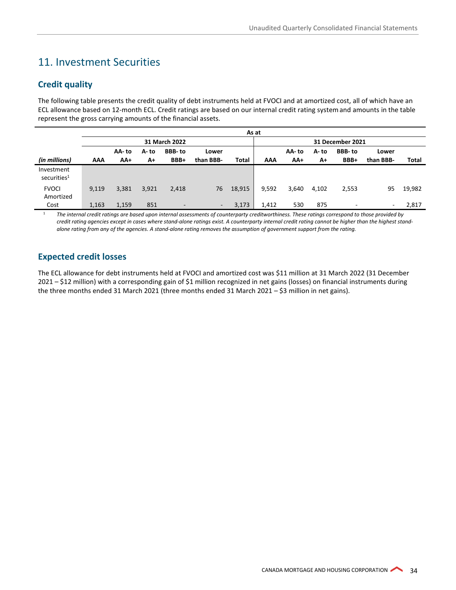# <span id="page-33-0"></span>11. Investment Securities

#### **Credit quality**

The following table presents the credit quality of debt instruments held at FVOCI and at amortized cost, all of which have an ECL allowance based on 12-month ECL. Credit ratings are based on our internal credit rating systemand amounts in the table represent the gross carrying amounts of the financial assets.

|                                       | As at      |        |       |                          |           |        |                  |       |       |               |           |        |
|---------------------------------------|------------|--------|-------|--------------------------|-----------|--------|------------------|-------|-------|---------------|-----------|--------|
|                                       |            |        |       | 31 March 2022            |           |        | 31 December 2021 |       |       |               |           |        |
|                                       |            | AA- to | A- to | BBB-to                   | Lower     |        |                  | AA-to | A- to | <b>BBB-to</b> | Lower     |        |
| (in millions)                         | <b>AAA</b> | AA+    | A+    | BBB+                     | than BBB- | Total  | AAA              | AA+   | A+    | BBB+          | than BBB- | Total  |
| Investment<br>securities <sup>1</sup> |            |        |       |                          |           |        |                  |       |       |               |           |        |
| <b>FVOCI</b><br>Amortized             | 9.119      | 3,381  | 3,921 | 2,418                    | 76        | 18,915 | 9,592            | 3,640 | 4.102 | 2,553         | 95        | 19,982 |
| Cost                                  | 1,163      | 1,159  | 851   | $\overline{\phantom{a}}$ | $\sim$    | 3,173  | 1,412            | 530   | 875   | -             | $\sim$    | 2,817  |

<sup>1</sup> *The internal credit ratings are based upon internal assessments of counterparty creditworthiness. These ratings correspond to those provided by credit rating agencies except in cases where stand-alone ratings exist. A counterparty internal credit rating cannot be higher than the highest standalone rating from any of the agencies. A stand-alone rating removes the assumption of government support from the rating.* 

#### **Expected credit losses**

The ECL allowance for debt instruments held at FVOCI and amortized cost was \$11 million at 31 March 2022 (31 December 2021 – \$12 million) with a corresponding gain of \$1 million recognized in net gains (losses) on financial instruments during the three months ended 31 March 2021 (three months ended 31 March 2021 – \$3 million in net gains).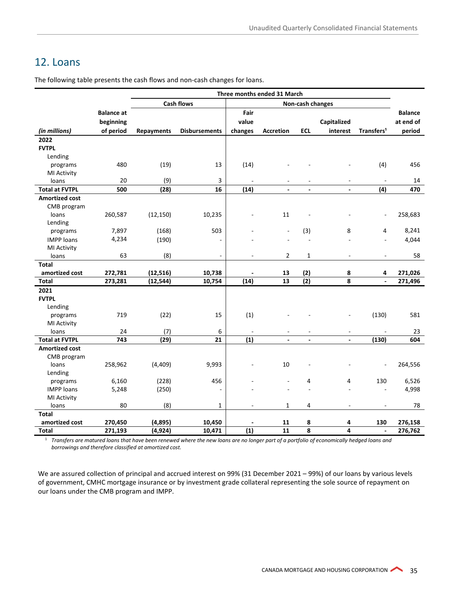# <span id="page-34-0"></span>12. Loans

The following table presents the cash flows and non-cash changes for loans.

|                       | Three months ended 31 March |                   |                          |                  |                          |                          |                |                          |                |
|-----------------------|-----------------------------|-------------------|--------------------------|------------------|--------------------------|--------------------------|----------------|--------------------------|----------------|
|                       |                             |                   | <b>Cash flows</b>        | Non-cash changes |                          |                          |                |                          |                |
|                       | <b>Balance at</b>           |                   |                          | Fair             |                          |                          |                |                          | <b>Balance</b> |
|                       | beginning                   |                   |                          | value            |                          |                          | Capitalized    |                          | at end of      |
| (in millions)         | of period                   | <b>Repayments</b> | <b>Disbursements</b>     | changes          | <b>Accretion</b>         | <b>ECL</b>               | interest       | Transfers <sup>1</sup>   | period         |
| 2022                  |                             |                   |                          |                  |                          |                          |                |                          |                |
| <b>FVTPL</b>          |                             |                   |                          |                  |                          |                          |                |                          |                |
| Lending               |                             |                   |                          |                  |                          |                          |                |                          |                |
| programs              | 480                         | (19)              | 13                       | (14)             |                          |                          |                | (4)                      | 456            |
| <b>MI Activity</b>    |                             |                   |                          |                  |                          |                          |                |                          |                |
| loans                 | 20                          | (9)               | 3                        |                  |                          |                          |                | $\overline{a}$           | 14             |
| <b>Total at FVTPL</b> | 500                         | (28)              | 16                       | (14)             | $\overline{\phantom{a}}$ | $\overline{\phantom{a}}$ | $\blacksquare$ | (4)                      | 470            |
| <b>Amortized cost</b> |                             |                   |                          |                  |                          |                          |                |                          |                |
| CMB program           |                             |                   |                          |                  |                          |                          |                |                          |                |
| loans                 | 260,587                     | (12, 150)         | 10,235                   |                  | $11\,$                   |                          |                |                          | 258,683        |
| Lending               |                             |                   |                          |                  |                          |                          |                |                          |                |
| programs              | 7,897                       | (168)             | 503                      |                  |                          | (3)                      | 8              | 4                        | 8,241          |
| <b>IMPP loans</b>     | 4,234                       | (190)             |                          |                  |                          |                          |                | ä,                       | 4,044          |
| MI Activity           |                             |                   |                          |                  |                          |                          |                |                          |                |
| loans                 | 63                          | (8)               | $\overline{\phantom{a}}$ | $\overline{a}$   | $\overline{2}$           | $\mathbf 1$              | ÷              | $\overline{a}$           | 58             |
| <b>Total</b>          |                             |                   |                          |                  |                          |                          |                |                          |                |
| amortized cost        | 272,781                     | (12, 516)         | 10,738                   |                  | 13                       | (2)                      | 8              | 4                        | 271,026        |
| <b>Total</b>          | 273,281                     | (12, 544)         | 10,754                   | (14)             | 13                       | $\overline{(2)}$         | 8              | $\ddot{\phantom{a}}$     | 271,496        |
| 2021                  |                             |                   |                          |                  |                          |                          |                |                          |                |
| <b>FVTPL</b>          |                             |                   |                          |                  |                          |                          |                |                          |                |
| Lending               |                             |                   |                          |                  |                          |                          |                |                          |                |
| programs              | 719                         | (22)              | 15                       | (1)              |                          |                          | ÷              | (130)                    | 581            |
| MI Activity           |                             |                   |                          |                  |                          |                          |                |                          |                |
| loans                 | 24                          | (7)               | 6                        |                  |                          |                          |                |                          | 23             |
| <b>Total at FVTPL</b> | 743                         | (29)              | 21                       | (1)              | $\blacksquare$           | $\blacksquare$           | $\blacksquare$ | (130)                    | 604            |
| <b>Amortized cost</b> |                             |                   |                          |                  |                          |                          |                |                          |                |
| CMB program           |                             |                   |                          |                  |                          |                          |                |                          |                |
| loans                 | 258,962                     | (4,409)           | 9,993                    |                  | 10                       |                          |                |                          | 264,556        |
| Lending               |                             |                   |                          |                  |                          |                          |                |                          |                |
| programs              | 6,160                       | (228)             | 456                      |                  |                          | 4                        | 4              | 130                      | 6,526          |
| <b>IMPP loans</b>     | 5,248                       | (250)             |                          |                  |                          |                          |                |                          | 4,998          |
| MI Activity           |                             |                   |                          |                  |                          |                          |                |                          |                |
| loans                 | 80                          | (8)               | 1                        |                  | 1                        | 4                        |                |                          | 78             |
| <b>Total</b>          |                             |                   |                          |                  |                          |                          |                |                          |                |
| amortized cost        | 270,450                     | (4, 895)          | 10,450                   |                  | 11                       | 8                        | 4              | 130                      | 276,158        |
| <b>Total</b>          | 271,193                     | (4, 924)          | 10,471                   | (1)              | 11                       | 8                        | 4              | $\overline{\phantom{a}}$ | 276,762        |

<sup>1</sup> *Transfers are matured loans that have been renewed where the new loans are no longer part of a portfolio of economically hedged loans and borrowings and therefore classified at amortized cost.* 

We are assured collection of principal and accrued interest on 99% (31 December 2021 – 99%) of our loans by various levels of government, CMHC mortgage insurance or by investment grade collateral representing the sole source of repayment on our loans under the CMB program and IMPP.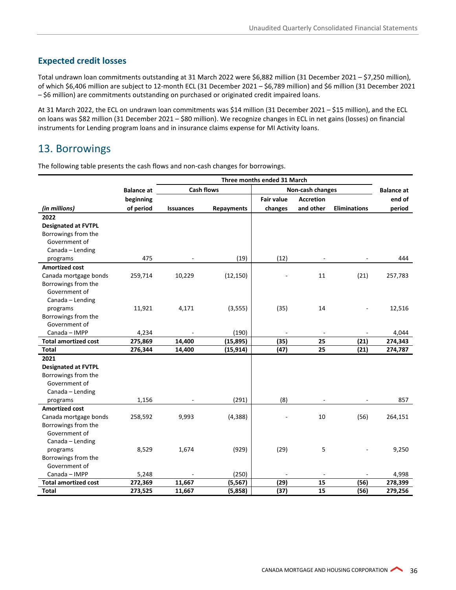#### **Expected credit losses**

Total undrawn loan commitments outstanding at 31 March 2022 were \$6,882 million (31 December 2021 – \$7,250 million), of which \$6,406 million are subject to 12-month ECL (31 December 2021 – \$6,789 million) and \$6 million (31 December 2021 – \$6 million) are commitments outstanding on purchased or originated credit impaired loans.

At 31 March 2022, the ECL on undrawn loan commitments was \$14 million (31 December 2021 – \$15 million), and the ECL on loans was \$82 million (31 December 2021 – \$80 million). We recognize changes in ECL in net gains (losses) on financial instruments for Lending program loans and in insurance claims expense for MI Activity loans.

# <span id="page-35-0"></span>13. Borrowings

The following table presents the cash flows and non-cash changes for borrowings.

|                             |                   | Three months ended 31 March           |                   |                   |                   |                     |         |
|-----------------------------|-------------------|---------------------------------------|-------------------|-------------------|-------------------|---------------------|---------|
|                             | <b>Balance at</b> | <b>Cash flows</b><br>Non-cash changes |                   |                   | <b>Balance at</b> |                     |         |
|                             | beginning         |                                       |                   | <b>Fair value</b> | <b>Accretion</b>  |                     | end of  |
| (in millions)               | of period         | <b>Issuances</b>                      | <b>Repayments</b> | changes           | and other         | <b>Eliminations</b> | period  |
| 2022                        |                   |                                       |                   |                   |                   |                     |         |
| <b>Designated at FVTPL</b>  |                   |                                       |                   |                   |                   |                     |         |
| Borrowings from the         |                   |                                       |                   |                   |                   |                     |         |
| Government of               |                   |                                       |                   |                   |                   |                     |         |
| Canada - Lending            |                   |                                       |                   |                   |                   |                     |         |
| programs                    | 475               |                                       | (19)              | (12)              |                   | ÷,                  | 444     |
| <b>Amortized cost</b>       |                   |                                       |                   |                   |                   |                     |         |
| Canada mortgage bonds       | 259,714           | 10,229                                | (12, 150)         |                   | 11                | (21)                | 257,783 |
| Borrowings from the         |                   |                                       |                   |                   |                   |                     |         |
| Government of               |                   |                                       |                   |                   |                   |                     |         |
| Canada - Lending            |                   |                                       |                   |                   |                   |                     |         |
| programs                    | 11,921            | 4,171                                 | (3, 555)          | (35)              | 14                |                     | 12,516  |
| Borrowings from the         |                   |                                       |                   |                   |                   |                     |         |
| Government of               |                   |                                       |                   |                   |                   |                     |         |
| Canada - IMPP               | 4,234             |                                       | (190)             |                   |                   |                     | 4,044   |
| <b>Total amortized cost</b> | 275,869           | 14,400                                | (15, 895)         | (35)              | 25                | (21)                | 274,343 |
| <b>Total</b>                | 276,344           | 14,400                                | (15, 914)         | (47)              | 25                | (21)                | 274,787 |
| 2021                        |                   |                                       |                   |                   |                   |                     |         |
| <b>Designated at FVTPL</b>  |                   |                                       |                   |                   |                   |                     |         |
| Borrowings from the         |                   |                                       |                   |                   |                   |                     |         |
| Government of               |                   |                                       |                   |                   |                   |                     |         |
| Canada - Lending            |                   |                                       |                   |                   |                   |                     |         |
| programs                    | 1,156             |                                       | (291)             | (8)               |                   |                     | 857     |
| <b>Amortized cost</b>       |                   |                                       |                   |                   |                   |                     |         |
| Canada mortgage bonds       | 258,592           | 9,993                                 | (4, 388)          |                   | 10                | (56)                | 264,151 |
| Borrowings from the         |                   |                                       |                   |                   |                   |                     |         |
| Government of               |                   |                                       |                   |                   |                   |                     |         |
| Canada - Lending            |                   |                                       |                   |                   |                   |                     |         |
| programs                    | 8,529             | 1,674                                 | (929)             | (29)              | 5                 |                     | 9,250   |
| Borrowings from the         |                   |                                       |                   |                   |                   |                     |         |
| Government of               |                   |                                       |                   |                   |                   |                     |         |
| Canada - IMPP               | 5,248             |                                       | (250)             |                   |                   |                     | 4,998   |
| <b>Total amortized cost</b> | 272,369           | 11,667                                | (5, 567)          | (29)              | 15                | (56)                | 278,399 |
| <b>Total</b>                | 273,525           | 11,667                                | (5,858)           | (37)              | 15                | (56)                | 279,256 |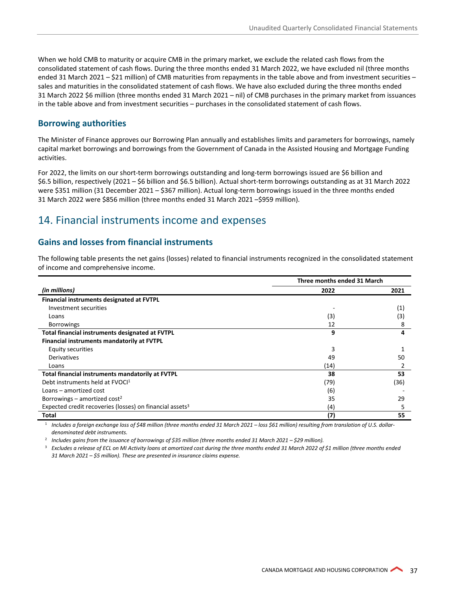When we hold CMB to maturity or acquire CMB in the primary market, we exclude the related cash flows from the consolidated statement of cash flows. During the three months ended 31 March 2022, we have excluded nil (three months ended 31 March 2021 – \$21 million) of CMB maturities from repayments in the table above and from investment securities – sales and maturities in the consolidated statement of cash flows. We have also excluded during the three months ended 31 March 2022 \$6 million (three months ended 31 March 2021 – nil) of CMB purchases in the primary market from issuances in the table above and from investment securities – purchases in the consolidated statement of cash flows.

#### **Borrowing authorities**

The Minister of Finance approves our Borrowing Plan annually and establishes limits and parameters for borrowings, namely capital market borrowings and borrowings from the Government of Canada in the Assisted Housing and Mortgage Funding activities.

For 2022, the limits on our short-term borrowings outstanding and long-term borrowings issued are \$6 billion and \$6.5 billion, respectively (2021 – \$6 billion and \$6.5 billion). Actual short-term borrowings outstanding as at 31 March 2022 were \$351 million (31 December 2021 – \$367 million). Actual long-term borrowings issued in the three months ended 31 March 2022 were \$856 million (three months ended 31 March 2021 –\$959 million).

### <span id="page-36-0"></span>14. Financial instruments income and expenses

#### **Gains and losses from financial instruments**

The following table presents the net gains (losses) related to financial instruments recognized in the consolidated statement of income and comprehensive income.

|                                                                      | Three months ended 31 March |      |  |
|----------------------------------------------------------------------|-----------------------------|------|--|
| (in millions)                                                        | 2022                        | 2021 |  |
| Financial instruments designated at FVTPL                            |                             |      |  |
| Investment securities                                                |                             | (1)  |  |
| Loans                                                                | (3)                         | (3)  |  |
| <b>Borrowings</b>                                                    | 12                          | 8    |  |
| Total financial instruments designated at FVTPL                      | 9                           | 4    |  |
| Financial instruments mandatorily at FVTPL                           |                             |      |  |
| Equity securities                                                    | 3                           |      |  |
| Derivatives                                                          | 49                          | 50   |  |
| Loans                                                                | (14)                        |      |  |
| Total financial instruments mandatorily at FVTPL                     | 38                          | 53   |  |
| Debt instruments held at FVOCI <sup>1</sup>                          | (79)                        | (36) |  |
| Loans – amortized cost                                               | (6)                         |      |  |
| Borrowings – amortized cost <sup>2</sup>                             | 35                          | 29   |  |
| Expected credit recoveries (losses) on financial assets <sup>3</sup> | (4)                         | 5    |  |
| <b>Total</b>                                                         | (7)                         | 55   |  |

<sup>1</sup> *Includes a foreign exchange loss of \$48 million (three months ended 31 March 2021 – loss \$61 million) resulting from translation of U.S. dollardenominated debt instruments.*

<sup>2</sup> *Includes gains from the issuance of borrowings of \$35 million (three months ended 31 March 2021 – \$29 million).* 

<sup>3</sup> Excludes a release of ECL on MI Activity loans at amortized cost during the three months ended 31 March 2022 of \$1 million (three months ended *31 March 2021 – \$5 million). These are presented in insurance claims expense.*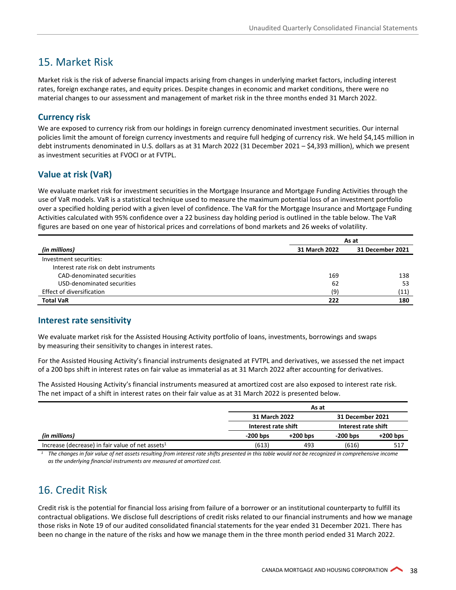# <span id="page-37-0"></span>15. Market Risk

Market risk is the risk of adverse financial impacts arising from changes in underlying market factors, including interest rates, foreign exchange rates, and equity prices. Despite changes in economic and market conditions, there were no material changes to our assessment and management of market risk in the three months ended 31 March 2022.

#### **Currency risk**

We are exposed to currency risk from our holdings in foreign currency denominated investment securities. Our internal policies limit the amount of foreign currency investments and require full hedging of currency risk. We held \$4,145 million in debt instruments denominated in U.S. dollars as at 31 March 2022 (31 December 2021 – \$4,393 million), which we present as investment securities at FVOCI or at FVTPL.

#### **Value at risk (VaR)**

We evaluate market risk for investment securities in the Mortgage Insurance and Mortgage Funding Activities through the use of VaR models. VaR is a statistical technique used to measure the maximum potential loss of an investment portfolio over a specified holding period with a given level of confidence. The VaR for the Mortgage Insurance and Mortgage Funding Activities calculated with 95% confidence over a 22 business day holding period is outlined in the table below. The VaR figures are based on one year of historical prices and correlations of bond markets and 26 weeks of volatility.

|                                        | As at         |                  |  |  |
|----------------------------------------|---------------|------------------|--|--|
| (in millions)                          | 31 March 2022 | 31 December 2021 |  |  |
| Investment securities:                 |               |                  |  |  |
| Interest rate risk on debt instruments |               |                  |  |  |
| CAD-denominated securities             | 169           | 138              |  |  |
| USD-denominated securities             | 62            | 53               |  |  |
| Effect of diversification              | (9)           | (11)             |  |  |
| <b>Total VaR</b>                       | 222           | 180              |  |  |

#### **Interest rate sensitivity**

We evaluate market risk for the Assisted Housing Activity portfolio of loans, investments, borrowings and swaps by measuring their sensitivity to changes in interest rates.

For the Assisted Housing Activity's financial instruments designated at FVTPL and derivatives, we assessed the net impact of a 200 bps shift in interest rates on fair value as immaterial as at 31 March 2022 after accounting for derivatives.

The Assisted Housing Activity's financial instruments measured at amortized cost are also exposed to interest rate risk. The net impact of a shift in interest rates on their fair value as at 31 March 2022 is presented below.

|                                                                                                                                                                                                                                                                                                                               | As at               |            |                     |            |  |  |  |
|-------------------------------------------------------------------------------------------------------------------------------------------------------------------------------------------------------------------------------------------------------------------------------------------------------------------------------|---------------------|------------|---------------------|------------|--|--|--|
|                                                                                                                                                                                                                                                                                                                               | 31 March 2022       |            | 31 December 2021    |            |  |  |  |
|                                                                                                                                                                                                                                                                                                                               | Interest rate shift |            | Interest rate shift |            |  |  |  |
| (in millions)                                                                                                                                                                                                                                                                                                                 | $-200$ bps          | $+200$ bps | $-200$ bps          | $+200$ bps |  |  |  |
| Increase (decrease) in fair value of net assets $1$                                                                                                                                                                                                                                                                           | (613)               | 493        | (616)               | 517        |  |  |  |
| $\overline{a}$ and $\overline{a}$ are an analysis of $\overline{a}$ and $\overline{a}$ and $\overline{a}$ and $\overline{a}$ and $\overline{a}$ and $\overline{a}$ and $\overline{a}$ and $\overline{a}$ and $\overline{a}$ and $\overline{a}$ and $\overline{a}$ and $\overline{a}$ and $\overline{a}$ and $\overline{a}$ an |                     |            | .                   |            |  |  |  |

*<sup>1</sup> The changes in fair value of net assets resulting from interest rate shifts presented in this table would not be recognized in comprehensive income as the underlying financial instruments are measured at amortized cost.*

# <span id="page-37-1"></span>16. Credit Risk

Credit risk is the potential for financial loss arising from failure of a borrower or an institutional counterparty to fulfill its contractual obligations. We disclose full descriptions of credit risks related to our financial instruments and how we manage those risks in Note 19 of our audited consolidated financial statements for the year ended 31 December 2021. There has been no change in the nature of the risks and how we manage them in the three month period ended 31 March 2022.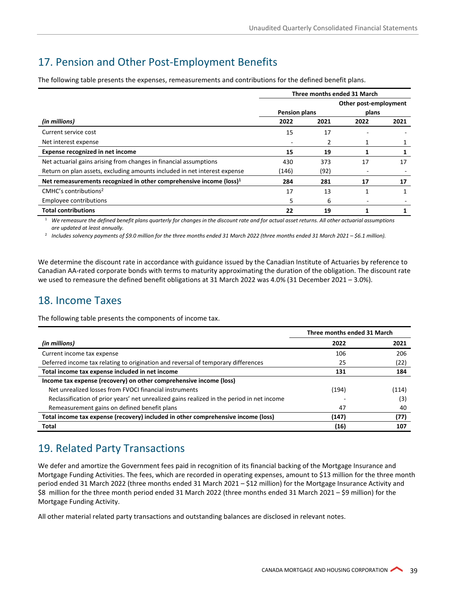# <span id="page-38-2"></span>17. Pension and Other Post-Employment Benefits

The following table presents the expenses, remeasurements and contributions for the defined benefit plans.

|                                                                                 | Three months ended 31 March |      |                       |      |  |  |
|---------------------------------------------------------------------------------|-----------------------------|------|-----------------------|------|--|--|
|                                                                                 |                             |      | Other post-employment |      |  |  |
|                                                                                 | <b>Pension plans</b>        |      | plans                 |      |  |  |
| (in millions)                                                                   | 2022                        | 2021 | 2022                  | 2021 |  |  |
| Current service cost                                                            | 15                          | 17   |                       |      |  |  |
| Net interest expense                                                            |                             | 2    |                       |      |  |  |
| Expense recognized in net income                                                | 15                          | 19   | 1                     |      |  |  |
| Net actuarial gains arising from changes in financial assumptions               | 430                         | 373  | 17                    | 17   |  |  |
| Return on plan assets, excluding amounts included in net interest expense       | (146)                       | (92) |                       |      |  |  |
| Net remeasurements recognized in other comprehensive income (loss) <sup>1</sup> | 284                         | 281  | 17                    | 17   |  |  |
| $CMHC's$ contributions <sup>2</sup>                                             | 17                          | 13   |                       |      |  |  |
| Employee contributions                                                          | 5                           | 6    |                       |      |  |  |
| <b>Total contributions</b>                                                      | 22                          | 19   |                       |      |  |  |

<sup>1</sup> *We remeasure the defined benefit plans quarterly for changes in the discount rate and for actual asset returns. All other actuarial assumptions are updated at least annually.*

<sup>2</sup> *Includes solvency payments of \$9.0 million for the three months ended 31 March 2022 (three months ended 31 March 2021 – \$6.1 million).* 

We determine the discount rate in accordance with guidance issued by the Canadian Institute of Actuaries by reference to Canadian AA-rated corporate bonds with terms to maturity approximating the duration of the obligation. The discount rate we used to remeasure the defined benefit obligations at 31 March 2022 was 4.0% (31 December 2021 – 3.0%).

## <span id="page-38-0"></span>18. Income Taxes

The following table presents the components of income tax.

|                                                                                            | Three months ended 31 March |       |
|--------------------------------------------------------------------------------------------|-----------------------------|-------|
| (in millions)                                                                              | 2022                        | 2021  |
| Current income tax expense                                                                 | 106                         | 206   |
| Deferred income tax relating to origination and reversal of temporary differences          | 25                          | (22)  |
| Total income tax expense included in net income                                            | 131                         | 184   |
| Income tax expense (recovery) on other comprehensive income (loss)                         |                             |       |
| Net unrealized losses from FVOCI financial instruments                                     | (194)                       | (114) |
| Reclassification of prior years' net unrealized gains realized in the period in net income |                             | (3)   |
| Remeasurement gains on defined benefit plans                                               | 47                          | 40    |
| Total income tax expense (recovery) included in other comprehensive income (loss)          | (147)                       | (77)  |
| Total                                                                                      | (16)                        | 107   |

# <span id="page-38-1"></span>19. Related Party Transactions

We defer and amortize the Government fees paid in recognition of its financial backing of the Mortgage Insurance and Mortgage Funding Activities. The fees, which are recorded in operating expenses, amount to \$13 million for the three month period ended 31 March 2022 (three months ended 31 March 2021 – \$12 million) for the Mortgage Insurance Activity and \$8 million for the three month period ended 31 March 2022 (three months ended 31 March 2021 – \$9 million) for the Mortgage Funding Activity.

All other material related party transactions and outstanding balances are disclosed in relevant notes.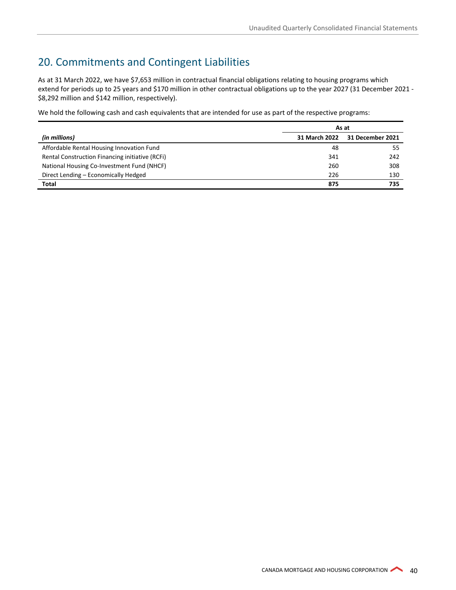# <span id="page-39-0"></span>20. Commitments and Contingent Liabilities

As at 31 March 2022, we have \$7,653 million in contractual financial obligations relating to housing programs which extend for periods up to 25 years and \$170 million in other contractual obligations up to the year 2027 (31 December 2021 - \$8,292 million and \$142 million, respectively).

We hold the following cash and cash equivalents that are intended for use as part of the respective programs:

|                                                 | As at         |                  |
|-------------------------------------------------|---------------|------------------|
| (in millions)                                   | 31 March 2022 | 31 December 2021 |
| Affordable Rental Housing Innovation Fund       | 48            | 55               |
| Rental Construction Financing initiative (RCFi) | 341           | 242              |
| National Housing Co-Investment Fund (NHCF)      | 260           | 308              |
| Direct Lending - Economically Hedged            | 226           | 130              |
| Total                                           | 875           | 735              |